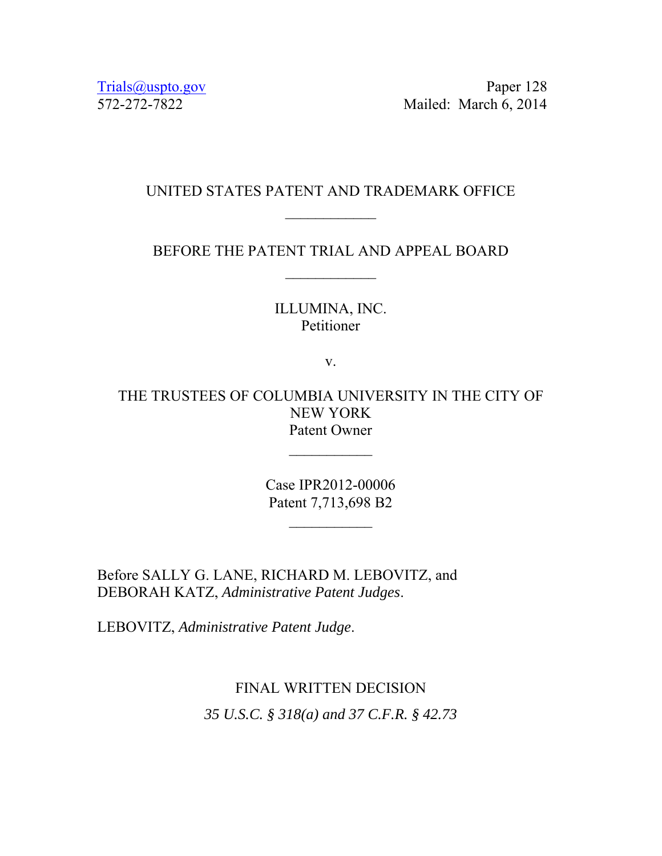Trials@uspto.gov Paper 128 572-272-7822 Mailed: March 6, 2014

### UNITED STATES PATENT AND TRADEMARK OFFICE

BEFORE THE PATENT TRIAL AND APPEAL BOARD

#### ILLUMINA, INC. Petitioner

v.

THE TRUSTEES OF COLUMBIA UNIVERSITY IN THE CITY OF NEW YORK Patent Owner

> Case IPR2012-00006 Patent 7,713,698 B2

Before SALLY G. LANE, RICHARD M. LEBOVITZ, and DEBORAH KATZ, *Administrative Patent Judges*.

LEBOVITZ, *Administrative Patent Judge*.

# FINAL WRITTEN DECISION *35 U.S.C. § 318(a) and 37 C.F.R. § 42.73*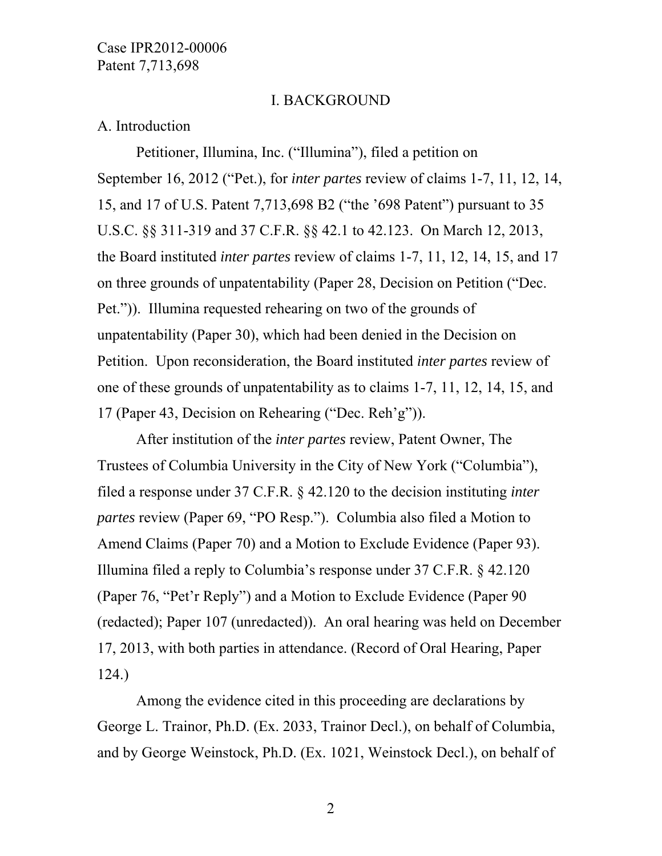#### I. BACKGROUND

#### A. Introduction

Petitioner, Illumina, Inc. ("Illumina"), filed a petition on September 16, 2012 ("Pet.), for *inter partes* review of claims 1-7, 11, 12, 14, 15, and 17 of U.S. Patent 7,713,698 B2 ("the '698 Patent") pursuant to 35 U.S.C. §§ 311-319 and 37 C.F.R. §§ 42.1 to 42.123. On March 12, 2013, the Board instituted *inter partes* review of claims 1-7, 11, 12, 14, 15, and 17 on three grounds of unpatentability (Paper 28, Decision on Petition ("Dec. Pet.")). Illumina requested rehearing on two of the grounds of unpatentability (Paper 30), which had been denied in the Decision on Petition. Upon reconsideration, the Board instituted *inter partes* review of one of these grounds of unpatentability as to claims 1-7, 11, 12, 14, 15, and 17 (Paper 43, Decision on Rehearing ("Dec. Reh'g")).

 After institution of the *inter partes* review, Patent Owner, The Trustees of Columbia University in the City of New York ("Columbia"), filed a response under 37 C.F.R. § 42.120 to the decision instituting *inter partes* review (Paper 69, "PO Resp."). Columbia also filed a Motion to Amend Claims (Paper 70) and a Motion to Exclude Evidence (Paper 93). Illumina filed a reply to Columbia's response under 37 C.F.R. § 42.120 (Paper 76, "Pet'r Reply") and a Motion to Exclude Evidence (Paper 90 (redacted); Paper 107 (unredacted)). An oral hearing was held on December 17, 2013, with both parties in attendance. (Record of Oral Hearing, Paper 124.)

 Among the evidence cited in this proceeding are declarations by George L. Trainor, Ph.D. (Ex. 2033, Trainor Decl.), on behalf of Columbia, and by George Weinstock, Ph.D. (Ex. 1021, Weinstock Decl.), on behalf of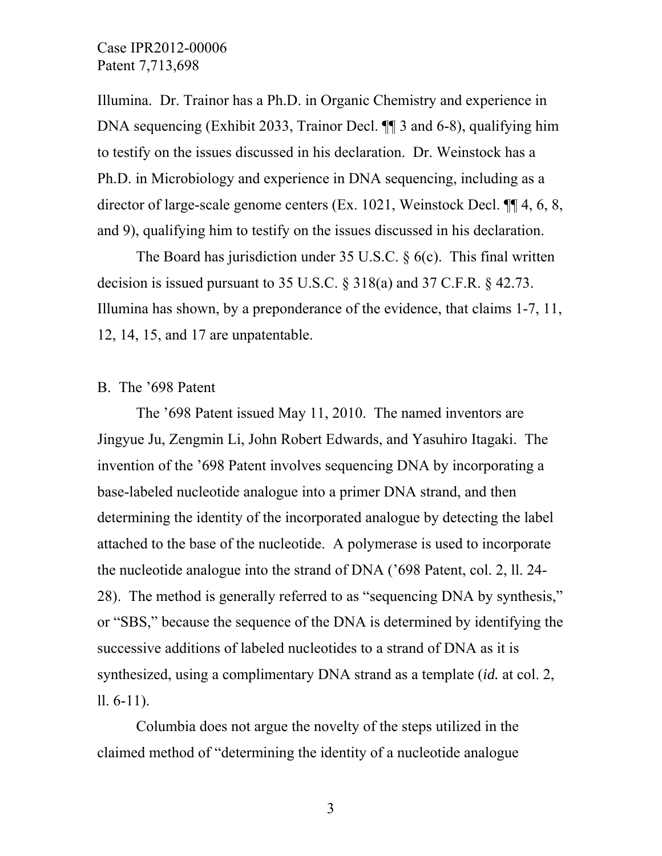Illumina. Dr. Trainor has a Ph.D. in Organic Chemistry and experience in DNA sequencing (Exhibit 2033, Trainor Decl. ¶¶ 3 and 6-8), qualifying him to testify on the issues discussed in his declaration. Dr. Weinstock has a Ph.D. in Microbiology and experience in DNA sequencing, including as a director of large-scale genome centers (Ex. 1021, Weinstock Decl. ¶¶ 4, 6, 8, and 9), qualifying him to testify on the issues discussed in his declaration.

The Board has jurisdiction under 35 U.S.C. § 6(c). This final written decision is issued pursuant to 35 U.S.C. § 318(a) and 37 C.F.R. § 42.73. Illumina has shown, by a preponderance of the evidence, that claims 1-7, 11, 12, 14, 15, and 17 are unpatentable.

#### B. The '698 Patent

The '698 Patent issued May 11, 2010. The named inventors are Jingyue Ju, Zengmin Li, John Robert Edwards, and Yasuhiro Itagaki. The invention of the '698 Patent involves sequencing DNA by incorporating a base-labeled nucleotide analogue into a primer DNA strand, and then determining the identity of the incorporated analogue by detecting the label attached to the base of the nucleotide. A polymerase is used to incorporate the nucleotide analogue into the strand of DNA ('698 Patent, col. 2, ll. 24- 28). The method is generally referred to as "sequencing DNA by synthesis," or "SBS," because the sequence of the DNA is determined by identifying the successive additions of labeled nucleotides to a strand of DNA as it is synthesized, using a complimentary DNA strand as a template (*id.* at col. 2, ll. 6-11).

Columbia does not argue the novelty of the steps utilized in the claimed method of "determining the identity of a nucleotide analogue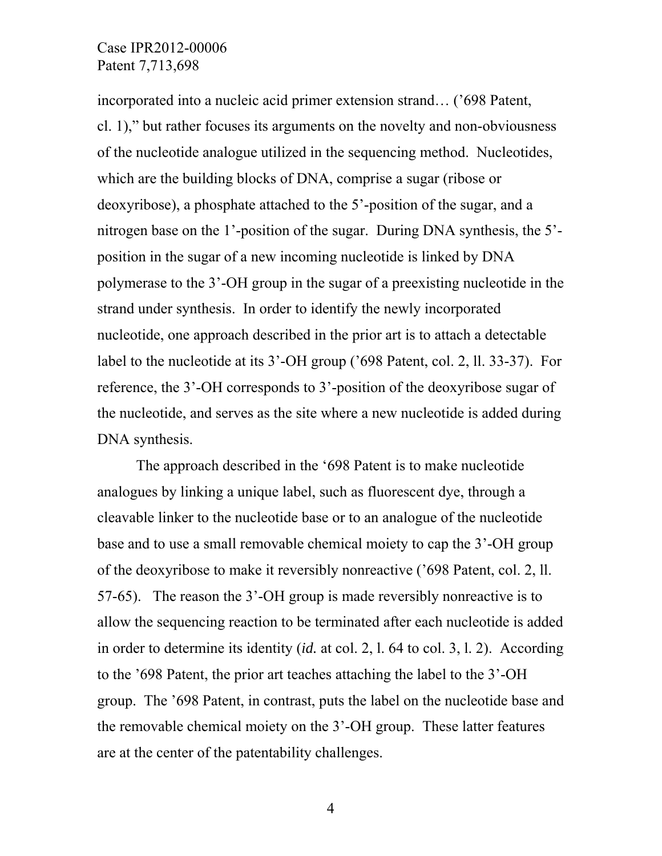incorporated into a nucleic acid primer extension strand… ('698 Patent, cl. 1)," but rather focuses its arguments on the novelty and non-obviousness of the nucleotide analogue utilized in the sequencing method. Nucleotides, which are the building blocks of DNA, comprise a sugar (ribose or deoxyribose), a phosphate attached to the 5'-position of the sugar, and a nitrogen base on the 1'-position of the sugar. During DNA synthesis, the 5' position in the sugar of a new incoming nucleotide is linked by DNA polymerase to the 3'-OH group in the sugar of a preexisting nucleotide in the strand under synthesis. In order to identify the newly incorporated nucleotide, one approach described in the prior art is to attach a detectable label to the nucleotide at its 3'-OH group ('698 Patent, col. 2, ll. 33-37). For reference, the 3'-OH corresponds to 3'-position of the deoxyribose sugar of the nucleotide, and serves as the site where a new nucleotide is added during DNA synthesis.

The approach described in the '698 Patent is to make nucleotide analogues by linking a unique label, such as fluorescent dye, through a cleavable linker to the nucleotide base or to an analogue of the nucleotide base and to use a small removable chemical moiety to cap the 3'-OH group of the deoxyribose to make it reversibly nonreactive ('698 Patent, col. 2, ll. 57-65). The reason the 3'-OH group is made reversibly nonreactive is to allow the sequencing reaction to be terminated after each nucleotide is added in order to determine its identity (*id.* at col. 2, l. 64 to col. 3, l. 2). According to the '698 Patent, the prior art teaches attaching the label to the 3'-OH group. The '698 Patent, in contrast, puts the label on the nucleotide base and the removable chemical moiety on the 3'-OH group. These latter features are at the center of the patentability challenges.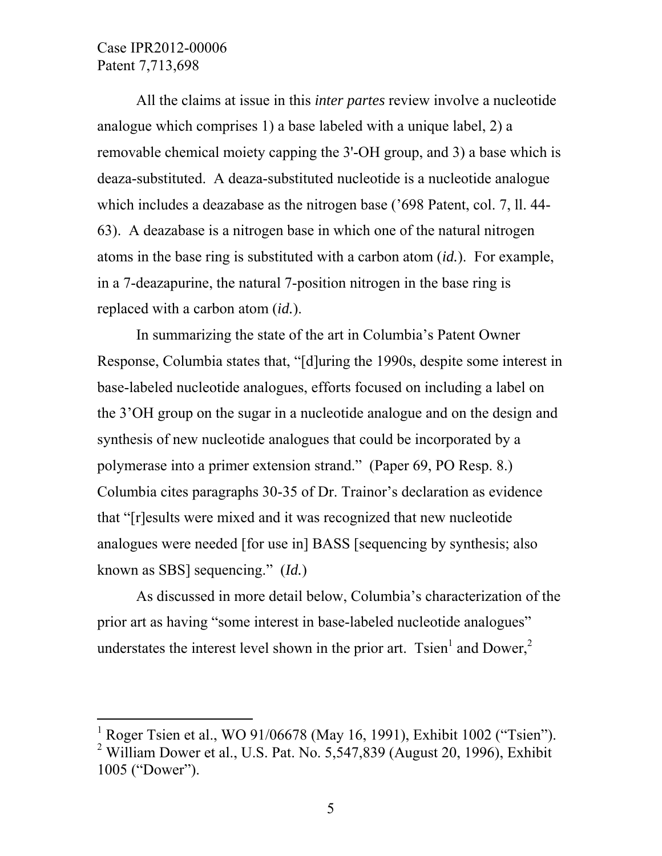$\overline{a}$ 

All the claims at issue in this *inter partes* review involve a nucleotide analogue which comprises 1) a base labeled with a unique label, 2) a removable chemical moiety capping the 3'-OH group, and 3) a base which is deaza-substituted. A deaza-substituted nucleotide is a nucleotide analogue which includes a deazabase as the nitrogen base ('698 Patent, col. 7, ll. 44- 63). A deazabase is a nitrogen base in which one of the natural nitrogen atoms in the base ring is substituted with a carbon atom (*id.*). For example, in a 7-deazapurine, the natural 7-position nitrogen in the base ring is replaced with a carbon atom (*id.*).

In summarizing the state of the art in Columbia's Patent Owner Response, Columbia states that, "[d]uring the 1990s, despite some interest in base-labeled nucleotide analogues, efforts focused on including a label on the 3'OH group on the sugar in a nucleotide analogue and on the design and synthesis of new nucleotide analogues that could be incorporated by a polymerase into a primer extension strand." (Paper 69, PO Resp. 8.) Columbia cites paragraphs 30-35 of Dr. Trainor's declaration as evidence that "[r]esults were mixed and it was recognized that new nucleotide analogues were needed [for use in] BASS [sequencing by synthesis; also known as SBS] sequencing." (*Id.*)

As discussed in more detail below, Columbia's characterization of the prior art as having "some interest in base-labeled nucleotide analogues" understates the interest level shown in the prior art. Tsien<sup>1</sup> and Dower,<sup>2</sup>

<sup>1</sup> Roger Tsien et al., WO 91/06678 (May 16, 1991), Exhibit 1002 ("Tsien"). <sup>2</sup> William Dower et al., U.S. Pat. No. 5,547,839 (August 20, 1996), Exhibit 1005 ("Dower").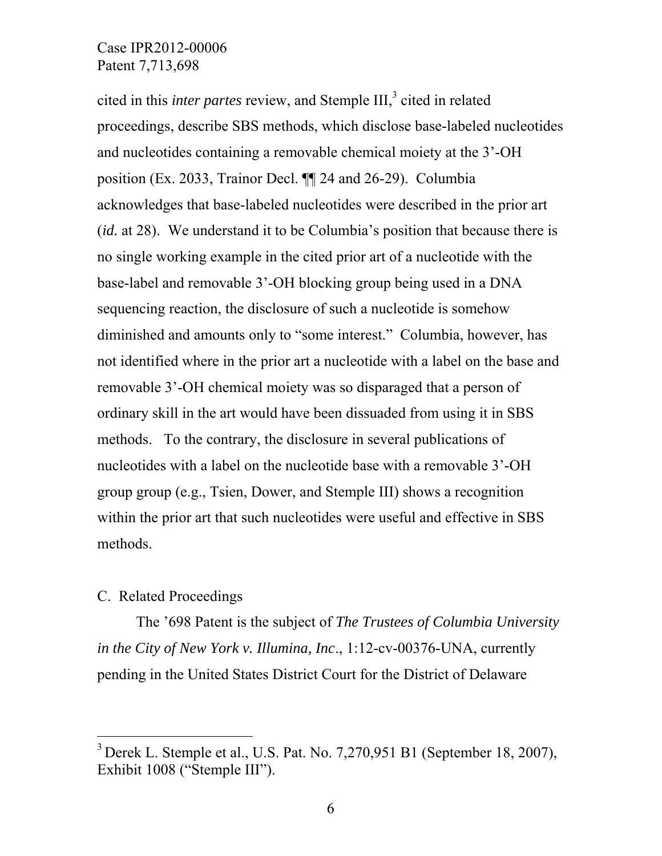cited in this *inter partes* review, and Stemple III,<sup>3</sup> cited in related proceedings, describe SBS methods, which disclose base-labeled nucleotides and nucleotides containing a removable chemical moiety at the 3'-OH position (Ex. 2033, Trainor Decl. ¶¶ 24 and 26-29). Columbia acknowledges that base-labeled nucleotides were described in the prior art (*id.* at 28). We understand it to be Columbia's position that because there is no single working example in the cited prior art of a nucleotide with the base-label and removable 3'-OH blocking group being used in a DNA sequencing reaction, the disclosure of such a nucleotide is somehow diminished and amounts only to "some interest." Columbia, however, has not identified where in the prior art a nucleotide with a label on the base and removable 3'-OH chemical moiety was so disparaged that a person of ordinary skill in the art would have been dissuaded from using it in SBS methods. To the contrary, the disclosure in several publications of nucleotides with a label on the nucleotide base with a removable 3'-OH group group (e.g., Tsien, Dower, and Stemple III) shows a recognition within the prior art that such nucleotides were useful and effective in SBS methods.

#### C. Related Proceedings

-

The '698 Patent is the subject of *The Trustees of Columbia University in the City of New York v. Illumina, Inc*., 1:12-cv-00376-UNA, currently pending in the United States District Court for the District of Delaware

 $3$  Derek L. Stemple et al., U.S. Pat. No. 7,270,951 B1 (September 18, 2007), Exhibit 1008 ("Stemple III").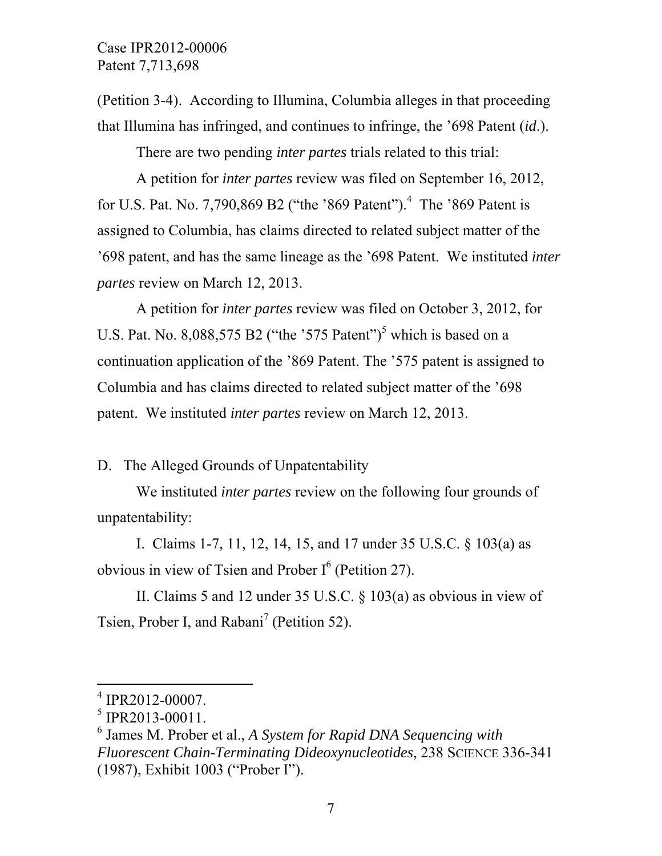(Petition 3-4). According to Illumina, Columbia alleges in that proceeding that Illumina has infringed, and continues to infringe, the '698 Patent (*id*.).

There are two pending *inter partes* trials related to this trial:

A petition for *inter partes* review was filed on September 16, 2012, for U.S. Pat. No. 7,790,869 B2 ("the '869 Patent").<sup>4</sup> The '869 Patent is assigned to Columbia, has claims directed to related subject matter of the '698 patent, and has the same lineage as the '698 Patent. We instituted *inter partes* review on March 12, 2013.

A petition for *inter partes* review was filed on October 3, 2012, for U.S. Pat. No.  $8,088,575$  B2 ("the '575 Patent")<sup>5</sup> which is based on a continuation application of the '869 Patent. The '575 patent is assigned to Columbia and has claims directed to related subject matter of the '698 patent. We instituted *inter partes* review on March 12, 2013.

## D. The Alleged Grounds of Unpatentability

 We instituted *inter partes* review on the following four grounds of unpatentability:

I. Claims 1-7, 11, 12, 14, 15, and 17 under 35 U.S.C. § 103(a) as obvious in view of Tsien and Prober  $I^6$  (Petition 27).

II. Claims 5 and 12 under 35 U.S.C. § 103(a) as obvious in view of Tsien, Prober I, and Rabani<sup>7</sup> (Petition 52).

 $\overline{a}$ 

<sup>4</sup> IPR2012-00007.

 $<sup>5</sup>$  IPR2013-00011.</sup>

<sup>6</sup> James M. Prober et al., *A System for Rapid DNA Sequencing with Fluorescent Chain-Terminating Dideoxynucleotides*, 238 SCIENCE 336-341 (1987), Exhibit 1003 ("Prober I").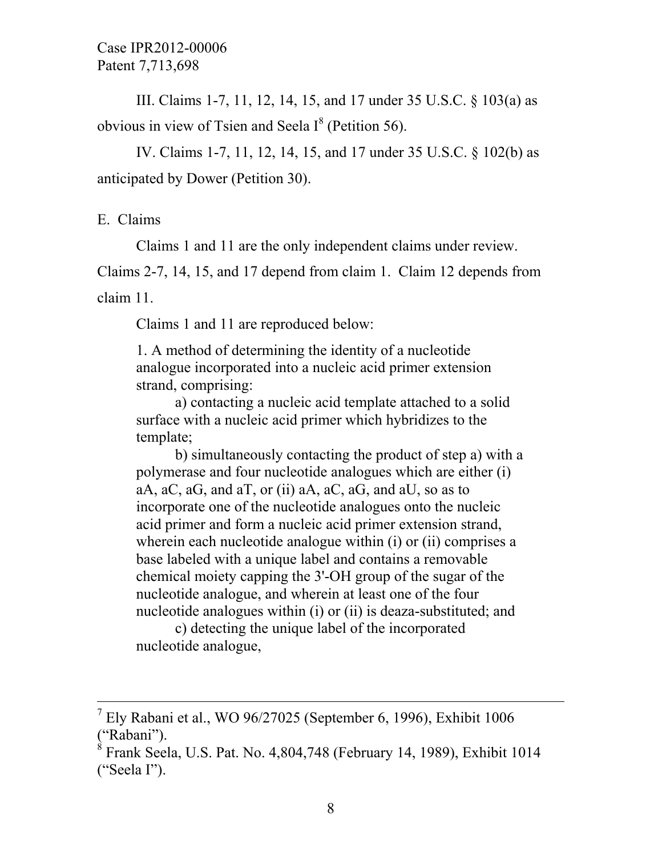III. Claims 1-7, 11, 12, 14, 15, and 17 under 35 U.S.C. § 103(a) as obvious in view of Tsien and Seela  $I^8$  (Petition 56).

IV. Claims 1-7, 11, 12, 14, 15, and 17 under 35 U.S.C. § 102(b) as anticipated by Dower (Petition 30).

E. Claims

-

Claims 1 and 11 are the only independent claims under review.

Claims 2-7, 14, 15, and 17 depend from claim 1. Claim 12 depends from claim 11.

Claims 1 and 11 are reproduced below:

1. A method of determining the identity of a nucleotide analogue incorporated into a nucleic acid primer extension strand, comprising:

a) contacting a nucleic acid template attached to a solid surface with a nucleic acid primer which hybridizes to the template;

b) simultaneously contacting the product of step a) with a polymerase and four nucleotide analogues which are either (i) aA,  $aC$ ,  $aG$ , and  $aT$ , or (ii)  $aA$ ,  $aC$ ,  $aG$ , and  $aU$ , so as to incorporate one of the nucleotide analogues onto the nucleic acid primer and form a nucleic acid primer extension strand, wherein each nucleotide analogue within (i) or (ii) comprises a base labeled with a unique label and contains a removable chemical moiety capping the 3'-OH group of the sugar of the nucleotide analogue, and wherein at least one of the four nucleotide analogues within (i) or (ii) is deaza-substituted; and

c) detecting the unique label of the incorporated nucleotide analogue,

 $<sup>7</sup>$  Ely Rabani et al., WO 96/27025 (September 6, 1996), Exhibit 1006</sup> ("Rabani").

 $8$  Frank Seela, U.S. Pat. No. 4,804,748 (February 14, 1989), Exhibit 1014 ("Seela I").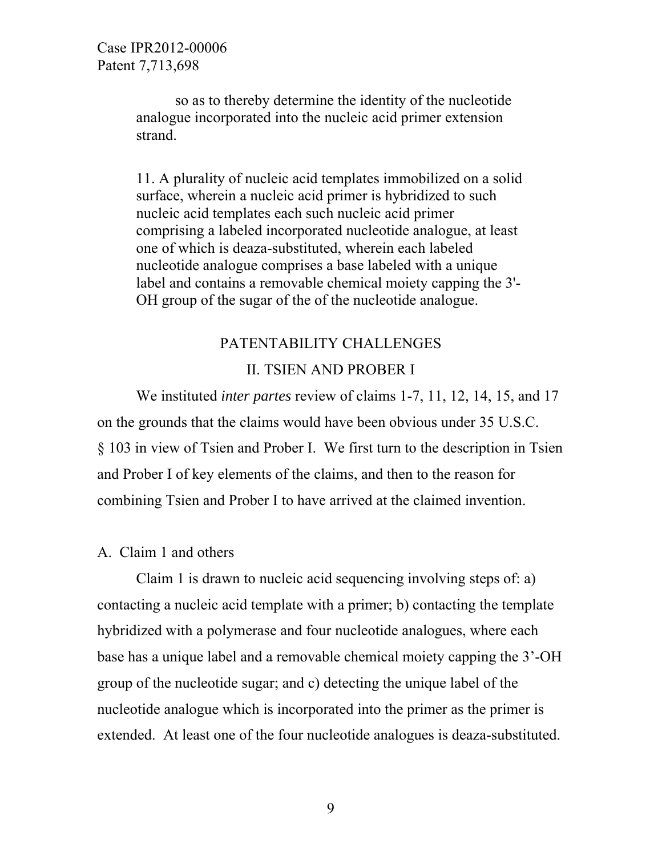so as to thereby determine the identity of the nucleotide analogue incorporated into the nucleic acid primer extension strand.

11. A plurality of nucleic acid templates immobilized on a solid surface, wherein a nucleic acid primer is hybridized to such nucleic acid templates each such nucleic acid primer comprising a labeled incorporated nucleotide analogue, at least one of which is deaza-substituted, wherein each labeled nucleotide analogue comprises a base labeled with a unique label and contains a removable chemical moiety capping the 3'- OH group of the sugar of the of the nucleotide analogue.

# PATENTABILITY CHALLENGES II. TSIEN AND PROBER I

 We instituted *inter partes* review of claims 1-7, 11, 12, 14, 15, and 17 on the grounds that the claims would have been obvious under 35 U.S.C. § 103 in view of Tsien and Prober I. We first turn to the description in Tsien and Prober I of key elements of the claims, and then to the reason for combining Tsien and Prober I to have arrived at the claimed invention.

## A. Claim 1 and others

 Claim 1 is drawn to nucleic acid sequencing involving steps of: a) contacting a nucleic acid template with a primer; b) contacting the template hybridized with a polymerase and four nucleotide analogues, where each base has a unique label and a removable chemical moiety capping the 3'-OH group of the nucleotide sugar; and c) detecting the unique label of the nucleotide analogue which is incorporated into the primer as the primer is extended. At least one of the four nucleotide analogues is deaza-substituted.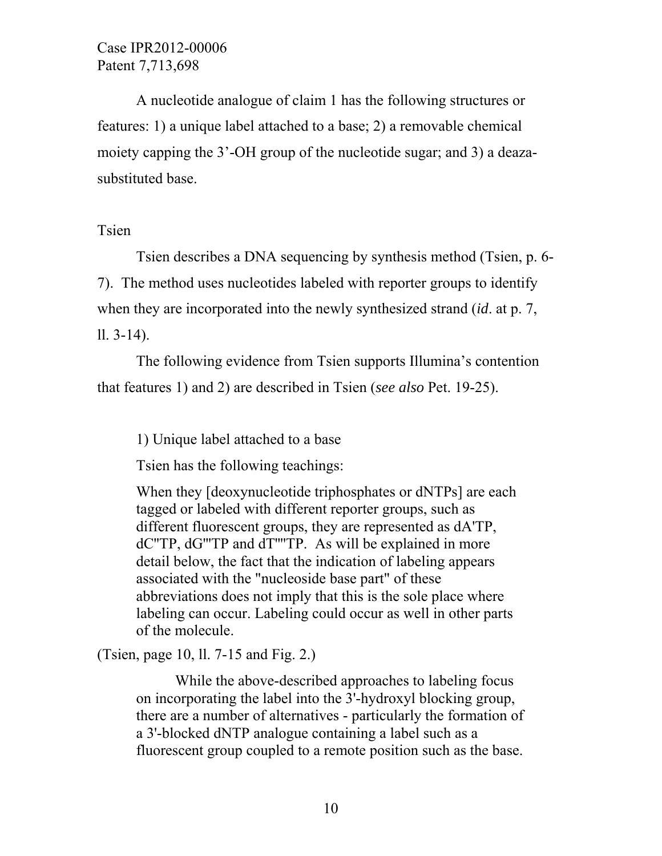A nucleotide analogue of claim 1 has the following structures or features: 1) a unique label attached to a base; 2) a removable chemical moiety capping the 3'-OH group of the nucleotide sugar; and 3) a deazasubstituted base.

## Tsien

Tsien describes a DNA sequencing by synthesis method (Tsien, p. 6- 7). The method uses nucleotides labeled with reporter groups to identify when they are incorporated into the newly synthesized strand (*id*. at p. 7, ll. 3-14).

The following evidence from Tsien supports Illumina's contention that features 1) and 2) are described in Tsien (*see also* Pet. 19-25).

1) Unique label attached to a base

Tsien has the following teachings:

When they [deoxynucleotide triphosphates or dNTPs] are each tagged or labeled with different reporter groups, such as different fluorescent groups, they are represented as dA'TP, dC''TP, dG'''TP and dT''''TP. As will be explained in more detail below, the fact that the indication of labeling appears associated with the "nucleoside base part" of these abbreviations does not imply that this is the sole place where labeling can occur. Labeling could occur as well in other parts of the molecule.

(Tsien, page 10, ll. 7-15 and Fig. 2.)

While the above-described approaches to labeling focus on incorporating the label into the 3'-hydroxyl blocking group, there are a number of alternatives - particularly the formation of a 3'-blocked dNTP analogue containing a label such as a fluorescent group coupled to a remote position such as the base.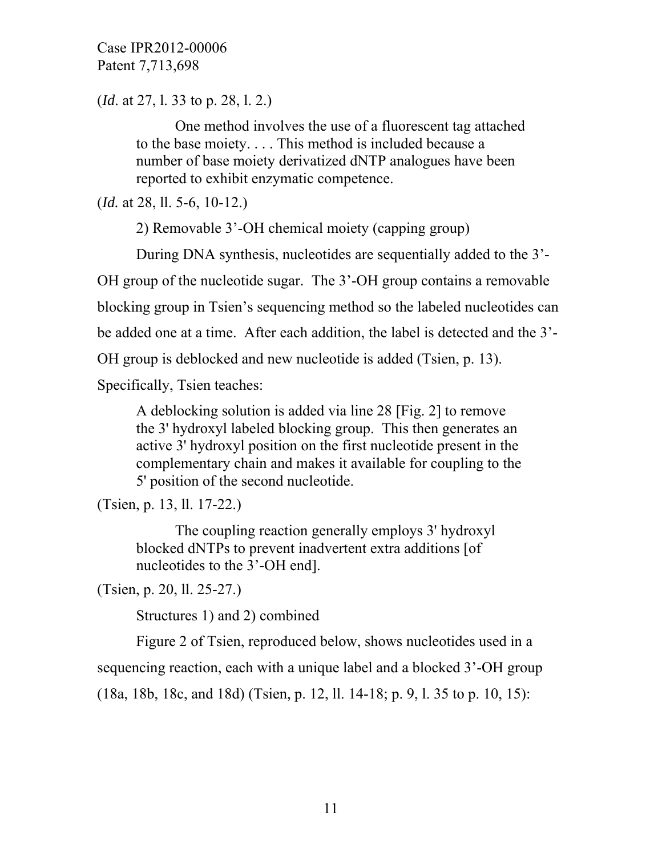(*Id*. at 27, l. 33 to p. 28, l. 2.)

One method involves the use of a fluorescent tag attached to the base moiety. . . . This method is included because a number of base moiety derivatized dNTP analogues have been reported to exhibit enzymatic competence.

(*Id.* at 28, ll. 5-6, 10-12.)

2) Removable 3'-OH chemical moiety (capping group)

During DNA synthesis, nucleotides are sequentially added to the 3'-

OH group of the nucleotide sugar. The 3'-OH group contains a removable

blocking group in Tsien's sequencing method so the labeled nucleotides can

be added one at a time. After each addition, the label is detected and the 3'-

OH group is deblocked and new nucleotide is added (Tsien, p. 13).

Specifically, Tsien teaches:

A deblocking solution is added via line 28 [Fig. 2] to remove the 3' hydroxyl labeled blocking group. This then generates an active 3' hydroxyl position on the first nucleotide present in the complementary chain and makes it available for coupling to the 5' position of the second nucleotide.

(Tsien, p. 13, ll. 17-22.)

The coupling reaction generally employs 3' hydroxyl blocked dNTPs to prevent inadvertent extra additions [of nucleotides to the 3'-OH end].

(Tsien, p. 20, ll. 25-27.)

Structures 1) and 2) combined

 Figure 2 of Tsien, reproduced below, shows nucleotides used in a sequencing reaction, each with a unique label and a blocked 3'-OH group (18a, 18b, 18c, and 18d) (Tsien, p. 12, ll. 14-18; p. 9, l. 35 to p. 10, 15):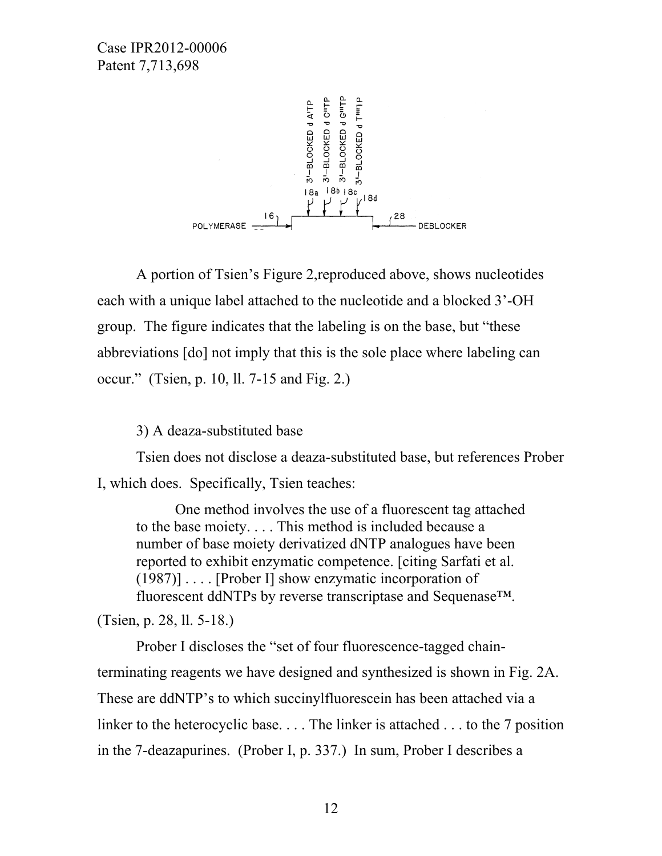

A portion of Tsien's Figure 2,reproduced above, shows nucleotides each with a unique label attached to the nucleotide and a blocked 3'-OH group. The figure indicates that the labeling is on the base, but "these abbreviations [do] not imply that this is the sole place where labeling can occur." (Tsien, p. 10, ll. 7-15 and Fig. 2.)

3) A deaza-substituted base

 Tsien does not disclose a deaza-substituted base, but references Prober I, which does. Specifically, Tsien teaches:

One method involves the use of a fluorescent tag attached to the base moiety. . . . This method is included because a number of base moiety derivatized dNTP analogues have been reported to exhibit enzymatic competence. [citing Sarfati et al. (1987)] . . . . [Prober I] show enzymatic incorporation of fluorescent ddNTPs by reverse transcriptase and Sequenase™.

(Tsien, p. 28, ll. 5-18.)

Prober I discloses the "set of four fluorescence-tagged chainterminating reagents we have designed and synthesized is shown in Fig. 2A. These are ddNTP's to which succinylfluorescein has been attached via a linker to the heterocyclic base. . . . The linker is attached . . . to the 7 position in the 7-deazapurines. (Prober I, p. 337.) In sum, Prober I describes a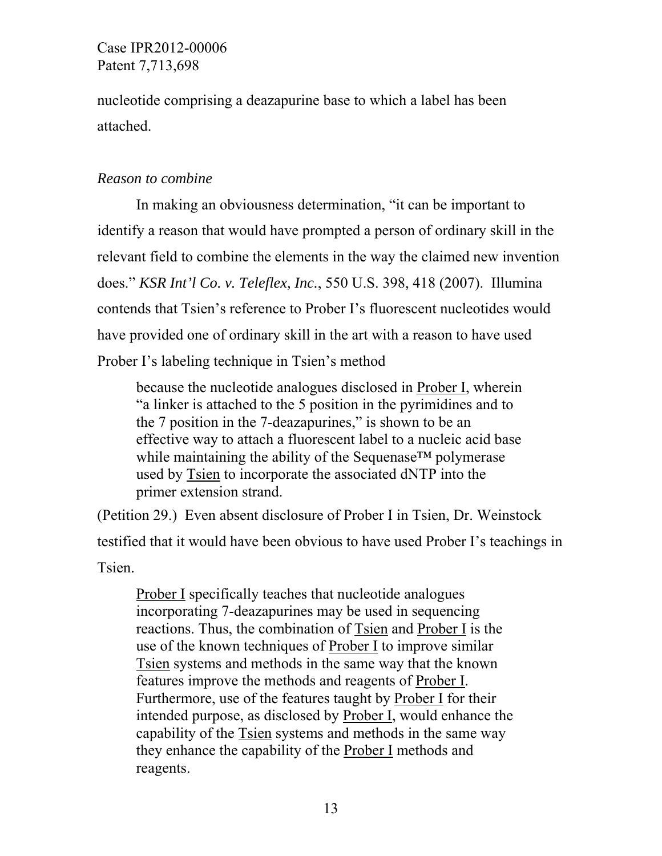nucleotide comprising a deazapurine base to which a label has been attached.

## *Reason to combine*

In making an obviousness determination, "it can be important to identify a reason that would have prompted a person of ordinary skill in the relevant field to combine the elements in the way the claimed new invention does." *KSR Int'l Co. v. Teleflex, Inc.*, 550 U.S. 398, 418 (2007). Illumina contends that Tsien's reference to Prober I's fluorescent nucleotides would have provided one of ordinary skill in the art with a reason to have used Prober I's labeling technique in Tsien's method

because the nucleotide analogues disclosed in Prober I, wherein "a linker is attached to the 5 position in the pyrimidines and to the 7 position in the 7-deazapurines," is shown to be an effective way to attach a fluorescent label to a nucleic acid base while maintaining the ability of the Sequenase™ polymerase used by Tsien to incorporate the associated dNTP into the primer extension strand.

(Petition 29.) Even absent disclosure of Prober I in Tsien, Dr. Weinstock testified that it would have been obvious to have used Prober I's teachings in **Tsien** 

Prober I specifically teaches that nucleotide analogues incorporating 7-deazapurines may be used in sequencing reactions. Thus, the combination of Tsien and Prober I is the use of the known techniques of Prober I to improve similar Tsien systems and methods in the same way that the known features improve the methods and reagents of Prober I. Furthermore, use of the features taught by Prober I for their intended purpose, as disclosed by Prober I, would enhance the capability of the Tsien systems and methods in the same way they enhance the capability of the Prober I methods and reagents.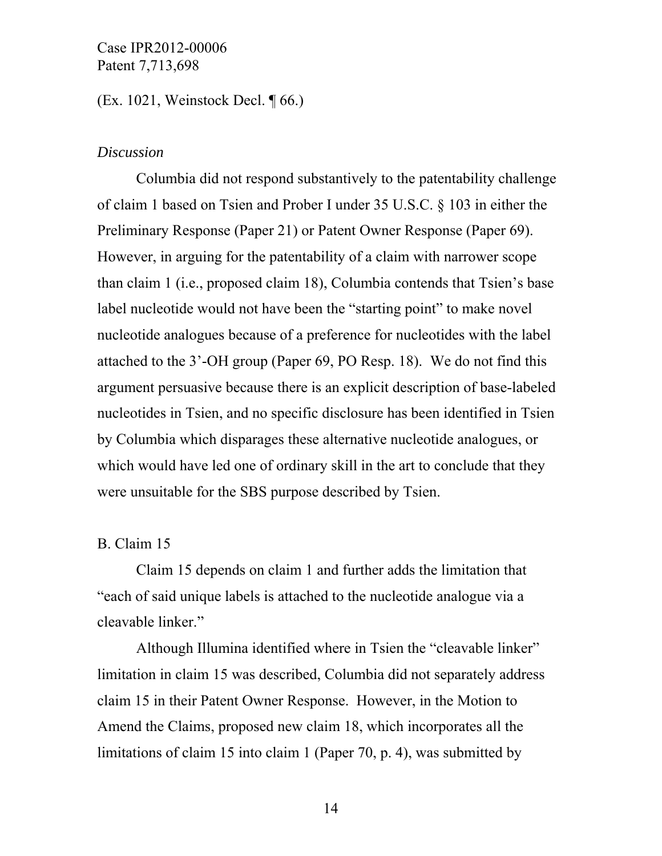(Ex. 1021, Weinstock Decl. ¶ 66.)

#### *Discussion*

Columbia did not respond substantively to the patentability challenge of claim 1 based on Tsien and Prober I under 35 U.S.C. § 103 in either the Preliminary Response (Paper 21) or Patent Owner Response (Paper 69). However, in arguing for the patentability of a claim with narrower scope than claim 1 (i.e., proposed claim 18), Columbia contends that Tsien's base label nucleotide would not have been the "starting point" to make novel nucleotide analogues because of a preference for nucleotides with the label attached to the 3'-OH group (Paper 69, PO Resp. 18). We do not find this argument persuasive because there is an explicit description of base-labeled nucleotides in Tsien, and no specific disclosure has been identified in Tsien by Columbia which disparages these alternative nucleotide analogues, or which would have led one of ordinary skill in the art to conclude that they were unsuitable for the SBS purpose described by Tsien.

#### B. Claim 15

 Claim 15 depends on claim 1 and further adds the limitation that "each of said unique labels is attached to the nucleotide analogue via a cleavable linker."

Although Illumina identified where in Tsien the "cleavable linker" limitation in claim 15 was described, Columbia did not separately address claim 15 in their Patent Owner Response. However, in the Motion to Amend the Claims, proposed new claim 18, which incorporates all the limitations of claim 15 into claim 1 (Paper 70, p. 4), was submitted by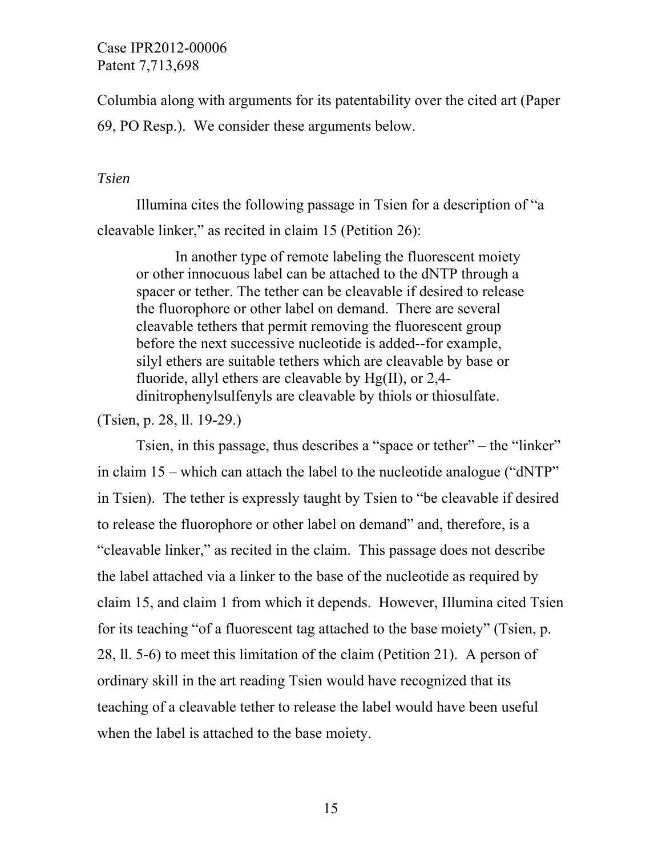Columbia along with arguments for its patentability over the cited art (Paper 69, PO Resp.). We consider these arguments below.

#### *Tsien*

 Illumina cites the following passage in Tsien for a description of "a cleavable linker," as recited in claim 15 (Petition 26):

In another type of remote labeling the fluorescent moiety or other innocuous label can be attached to the dNTP through a spacer or tether. The tether can be cleavable if desired to release the fluorophore or other label on demand. There are several cleavable tethers that permit removing the fluorescent group before the next successive nucleotide is added--for example, silyl ethers are suitable tethers which are cleavable by base or fluoride, allyl ethers are cleavable by Hg(II), or 2,4 dinitrophenylsulfenyls are cleavable by thiols or thiosulfate.

(Tsien, p. 28, ll. 19-29.)

 Tsien, in this passage, thus describes a "space or tether" – the "linker" in claim 15 – which can attach the label to the nucleotide analogue ("dNTP" in Tsien). The tether is expressly taught by Tsien to "be cleavable if desired to release the fluorophore or other label on demand" and, therefore, is a "cleavable linker," as recited in the claim. This passage does not describe the label attached via a linker to the base of the nucleotide as required by claim 15, and claim 1 from which it depends. However, Illumina cited Tsien for its teaching "of a fluorescent tag attached to the base moiety" (Tsien, p. 28, ll. 5-6) to meet this limitation of the claim (Petition 21). A person of ordinary skill in the art reading Tsien would have recognized that its teaching of a cleavable tether to release the label would have been useful when the label is attached to the base moiety.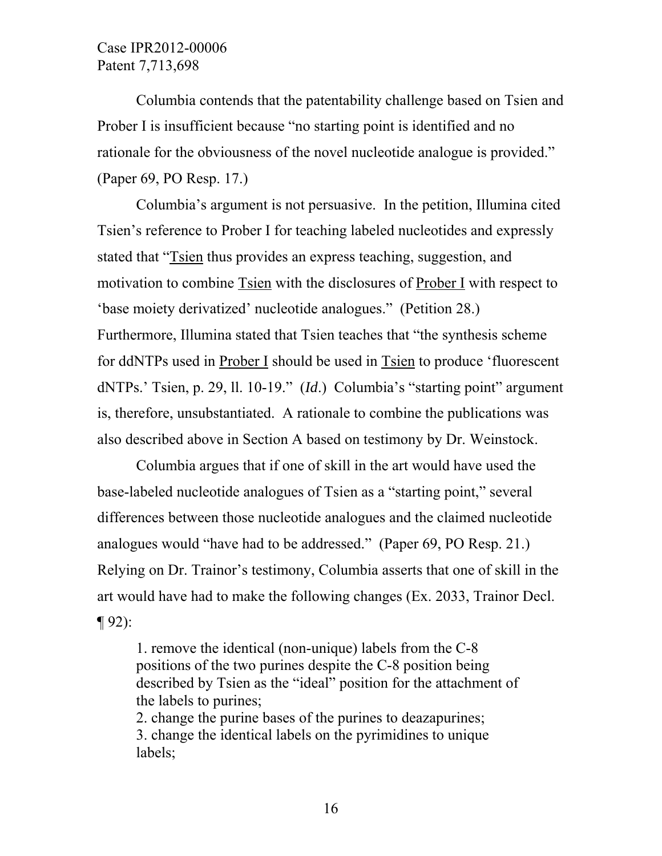Columbia contends that the patentability challenge based on Tsien and Prober I is insufficient because "no starting point is identified and no rationale for the obviousness of the novel nucleotide analogue is provided." (Paper 69, PO Resp. 17.)

Columbia's argument is not persuasive. In the petition, Illumina cited Tsien's reference to Prober I for teaching labeled nucleotides and expressly stated that "Tsien thus provides an express teaching, suggestion, and motivation to combine Tsien with the disclosures of Prober I with respect to 'base moiety derivatized' nucleotide analogues." (Petition 28.) Furthermore, Illumina stated that Tsien teaches that "the synthesis scheme for ddNTPs used in Prober I should be used in Tsien to produce 'fluorescent dNTPs.' Tsien, p. 29, ll. 10-19." (*Id*.) Columbia's "starting point" argument is, therefore, unsubstantiated. A rationale to combine the publications was also described above in Section A based on testimony by Dr. Weinstock.

 Columbia argues that if one of skill in the art would have used the base-labeled nucleotide analogues of Tsien as a "starting point," several differences between those nucleotide analogues and the claimed nucleotide analogues would "have had to be addressed." (Paper 69, PO Resp. 21.) Relying on Dr. Trainor's testimony, Columbia asserts that one of skill in the art would have had to make the following changes (Ex. 2033, Trainor Decl. ¶ 92):

1. remove the identical (non-unique) labels from the C-8 positions of the two purines despite the C-8 position being described by Tsien as the "ideal" position for the attachment of the labels to purines;

2. change the purine bases of the purines to deazapurines; 3. change the identical labels on the pyrimidines to unique labels;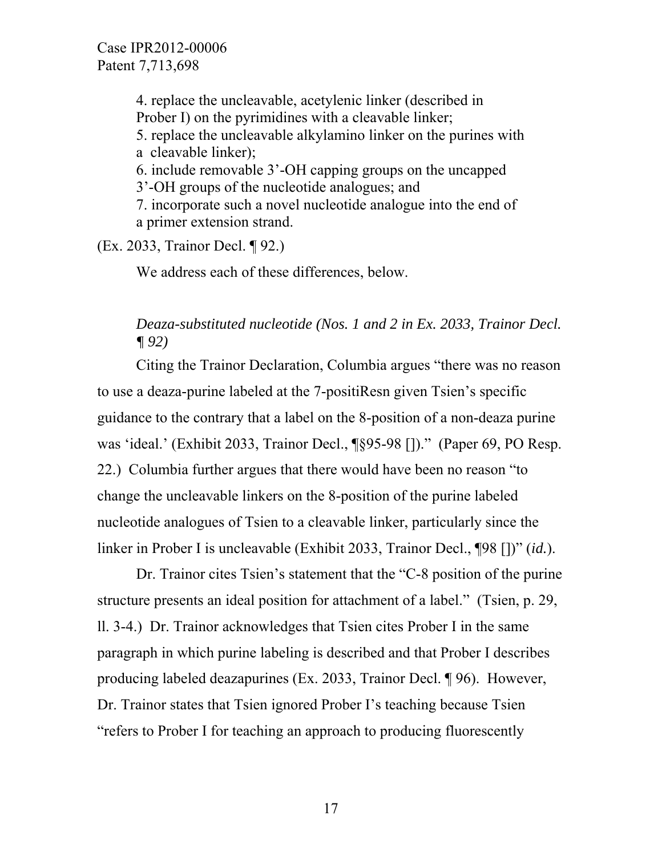4. replace the uncleavable, acetylenic linker (described in Prober I) on the pyrimidines with a cleavable linker; 5. replace the uncleavable alkylamino linker on the purines with a cleavable linker); 6. include removable 3'-OH capping groups on the uncapped 3'-OH groups of the nucleotide analogues; and 7. incorporate such a novel nucleotide analogue into the end of a primer extension strand.

(Ex. 2033, Trainor Decl. ¶ 92.)

We address each of these differences, below.

## *Deaza-substituted nucleotide (Nos. 1 and 2 in Ex. 2033, Trainor Decl. ¶ 92)*

 Citing the Trainor Declaration, Columbia argues "there was no reason to use a deaza-purine labeled at the 7-positiResn given Tsien's specific guidance to the contrary that a label on the 8-position of a non-deaza purine was 'ideal.' (Exhibit 2033, Trainor Decl., ¶§95-98 [])." (Paper 69, PO Resp. 22.) Columbia further argues that there would have been no reason "to change the uncleavable linkers on the 8-position of the purine labeled nucleotide analogues of Tsien to a cleavable linker, particularly since the linker in Prober I is uncleavable (Exhibit 2033, Trainor Decl., ¶98 [])" (*id.*).

 Dr. Trainor cites Tsien's statement that the "C-8 position of the purine structure presents an ideal position for attachment of a label." (Tsien, p. 29, ll. 3-4.) Dr. Trainor acknowledges that Tsien cites Prober I in the same paragraph in which purine labeling is described and that Prober I describes producing labeled deazapurines (Ex. 2033, Trainor Decl. ¶ 96). However, Dr. Trainor states that Tsien ignored Prober I's teaching because Tsien "refers to Prober I for teaching an approach to producing fluorescently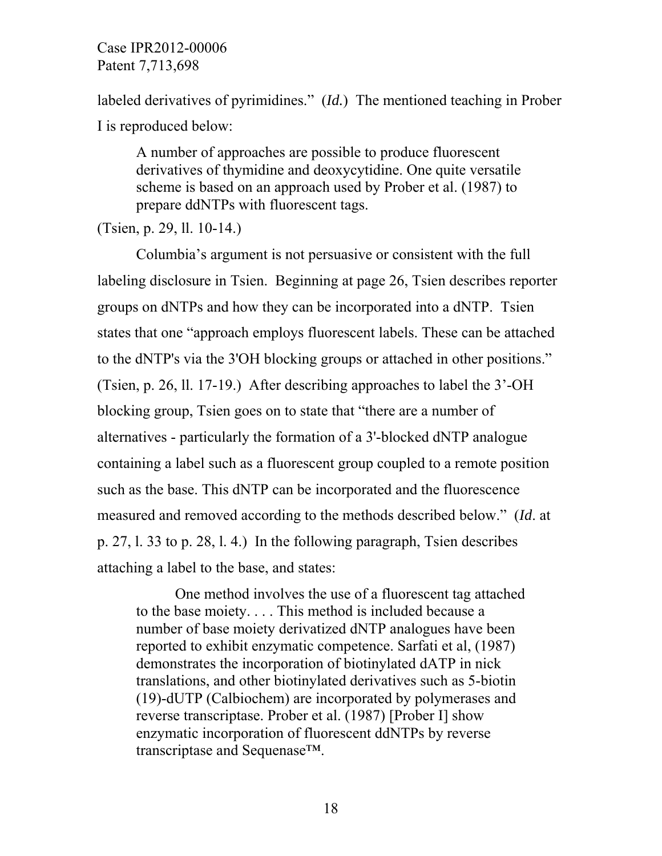labeled derivatives of pyrimidines." (*Id.*) The mentioned teaching in Prober I is reproduced below:

A number of approaches are possible to produce fluorescent derivatives of thymidine and deoxycytidine. One quite versatile scheme is based on an approach used by Prober et al. (1987) to prepare ddNTPs with fluorescent tags.

(Tsien, p. 29, ll. 10-14.)

 Columbia's argument is not persuasive or consistent with the full labeling disclosure in Tsien. Beginning at page 26, Tsien describes reporter groups on dNTPs and how they can be incorporated into a dNTP. Tsien states that one "approach employs fluorescent labels. These can be attached to the dNTP's via the 3'OH blocking groups or attached in other positions." (Tsien, p. 26, ll. 17-19.) After describing approaches to label the 3'-OH blocking group, Tsien goes on to state that "there are a number of alternatives - particularly the formation of a 3'-blocked dNTP analogue containing a label such as a fluorescent group coupled to a remote position such as the base. This dNTP can be incorporated and the fluorescence measured and removed according to the methods described below." (*Id*. at p. 27, l. 33 to p. 28, l. 4.) In the following paragraph, Tsien describes attaching a label to the base, and states:

One method involves the use of a fluorescent tag attached to the base moiety. . . . This method is included because a number of base moiety derivatized dNTP analogues have been reported to exhibit enzymatic competence. Sarfati et al, (1987) demonstrates the incorporation of biotinylated dATP in nick translations, and other biotinylated derivatives such as 5-biotin (19)-dUTP (Calbiochem) are incorporated by polymerases and reverse transcriptase. Prober et al. (1987) [Prober I] show enzymatic incorporation of fluorescent ddNTPs by reverse transcriptase and Sequenase™.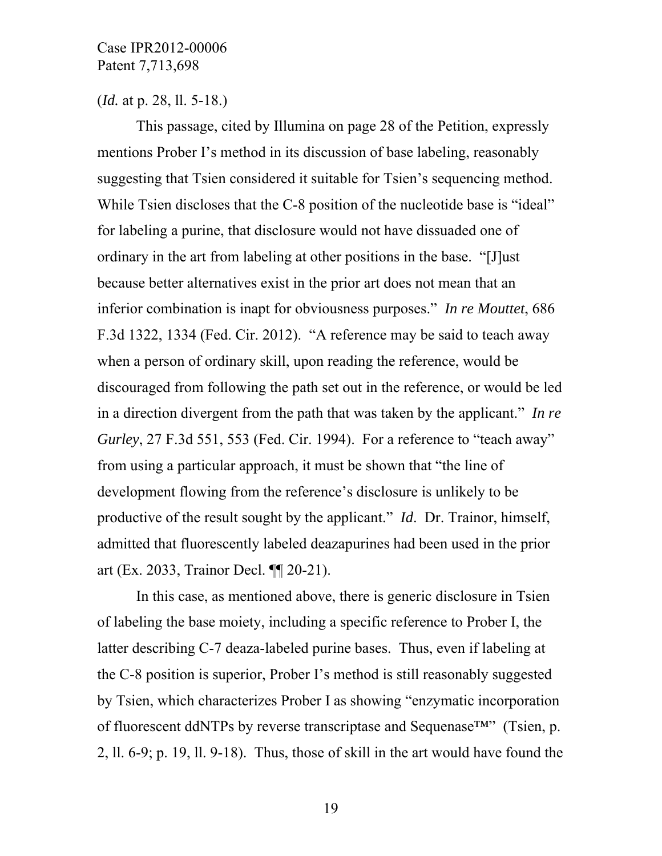(*Id.* at p. 28, ll. 5-18.)

This passage, cited by Illumina on page 28 of the Petition, expressly mentions Prober I's method in its discussion of base labeling, reasonably suggesting that Tsien considered it suitable for Tsien's sequencing method. While Tsien discloses that the C-8 position of the nucleotide base is "ideal" for labeling a purine, that disclosure would not have dissuaded one of ordinary in the art from labeling at other positions in the base. "[J]ust because better alternatives exist in the prior art does not mean that an inferior combination is inapt for obviousness purposes." *In re Mouttet*, 686 F.3d 1322, 1334 (Fed. Cir. 2012). "A reference may be said to teach away when a person of ordinary skill, upon reading the reference, would be discouraged from following the path set out in the reference, or would be led in a direction divergent from the path that was taken by the applicant." *In re Gurley*, 27 F.3d 551, 553 (Fed. Cir. 1994). For a reference to "teach away" from using a particular approach, it must be shown that "the line of development flowing from the reference's disclosure is unlikely to be productive of the result sought by the applicant." *Id*. Dr. Trainor, himself, admitted that fluorescently labeled deazapurines had been used in the prior art (Ex. 2033, Trainor Decl. ¶¶ 20-21).

 In this case, as mentioned above, there is generic disclosure in Tsien of labeling the base moiety, including a specific reference to Prober I, the latter describing C-7 deaza-labeled purine bases. Thus, even if labeling at the C-8 position is superior, Prober I's method is still reasonably suggested by Tsien, which characterizes Prober I as showing "enzymatic incorporation of fluorescent ddNTPs by reverse transcriptase and Sequenase™" (Tsien, p. 2, ll. 6-9; p. 19, ll. 9-18). Thus, those of skill in the art would have found the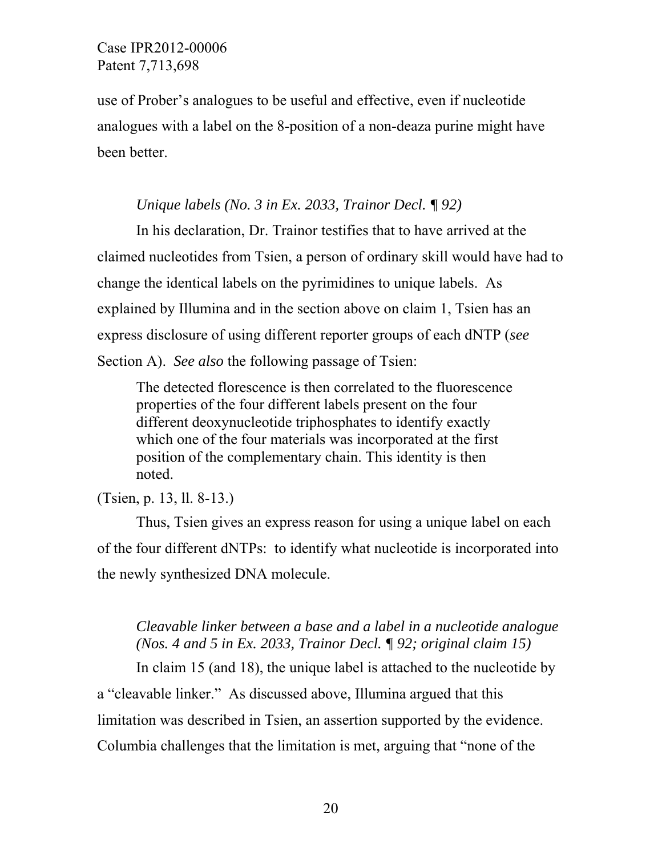use of Prober's analogues to be useful and effective, even if nucleotide analogues with a label on the 8-position of a non-deaza purine might have been better.

### *Unique labels (No. 3 in Ex. 2033, Trainor Decl. ¶ 92)*

 In his declaration, Dr. Trainor testifies that to have arrived at the claimed nucleotides from Tsien, a person of ordinary skill would have had to change the identical labels on the pyrimidines to unique labels. As explained by Illumina and in the section above on claim 1, Tsien has an express disclosure of using different reporter groups of each dNTP (*see* Section A). *See also* the following passage of Tsien:

The detected florescence is then correlated to the fluorescence properties of the four different labels present on the four different deoxynucleotide triphosphates to identify exactly which one of the four materials was incorporated at the first position of the complementary chain. This identity is then noted.

## (Tsien, p. 13, ll. 8-13.)

Thus, Tsien gives an express reason for using a unique label on each of the four different dNTPs: to identify what nucleotide is incorporated into the newly synthesized DNA molecule.

## *Cleavable linker between a base and a label in a nucleotide analogue (Nos. 4 and 5 in Ex. 2033, Trainor Decl. ¶ 92; original claim 15)*

 In claim 15 (and 18), the unique label is attached to the nucleotide by a "cleavable linker." As discussed above, Illumina argued that this limitation was described in Tsien, an assertion supported by the evidence. Columbia challenges that the limitation is met, arguing that "none of the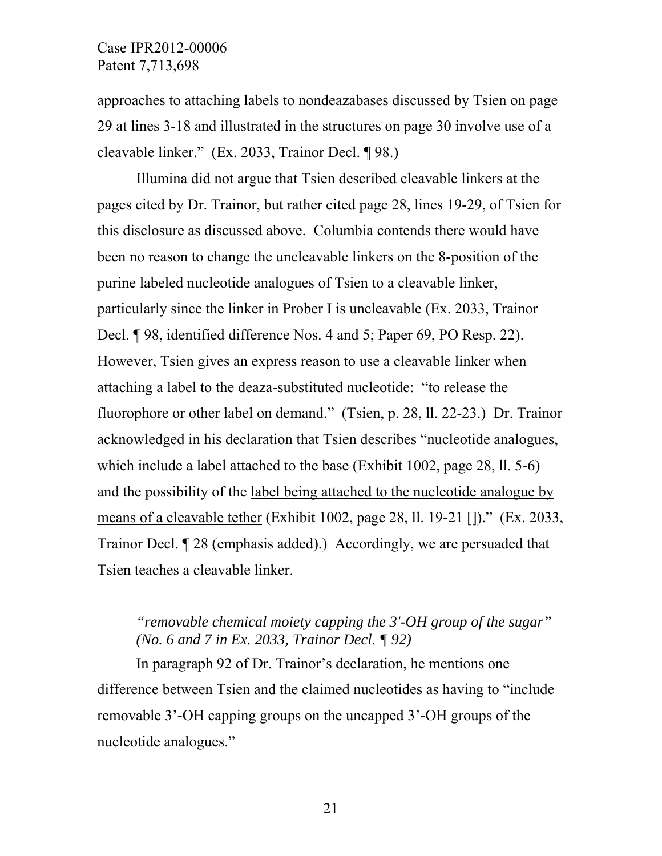approaches to attaching labels to nondeazabases discussed by Tsien on page 29 at lines 3-18 and illustrated in the structures on page 30 involve use of a cleavable linker." (Ex. 2033, Trainor Decl. ¶ 98.)

 Illumina did not argue that Tsien described cleavable linkers at the pages cited by Dr. Trainor, but rather cited page 28, lines 19-29, of Tsien for this disclosure as discussed above. Columbia contends there would have been no reason to change the uncleavable linkers on the 8-position of the purine labeled nucleotide analogues of Tsien to a cleavable linker, particularly since the linker in Prober I is uncleavable (Ex. 2033, Trainor Decl. ¶ 98, identified difference Nos. 4 and 5; Paper 69, PO Resp. 22). However, Tsien gives an express reason to use a cleavable linker when attaching a label to the deaza-substituted nucleotide: "to release the fluorophore or other label on demand." (Tsien, p. 28, ll. 22-23.) Dr. Trainor acknowledged in his declaration that Tsien describes "nucleotide analogues, which include a label attached to the base (Exhibit 1002, page 28, ll. 5-6) and the possibility of the label being attached to the nucleotide analogue by means of a cleavable tether (Exhibit 1002, page 28, ll. 19-21 [])." (Ex. 2033, Trainor Decl. ¶ 28 (emphasis added).) Accordingly, we are persuaded that Tsien teaches a cleavable linker.

## *"removable chemical moiety capping the 3'-OH group of the sugar" (No. 6 and 7 in Ex. 2033, Trainor Decl. ¶ 92)*

 In paragraph 92 of Dr. Trainor's declaration, he mentions one difference between Tsien and the claimed nucleotides as having to "include removable 3'-OH capping groups on the uncapped 3'-OH groups of the nucleotide analogues."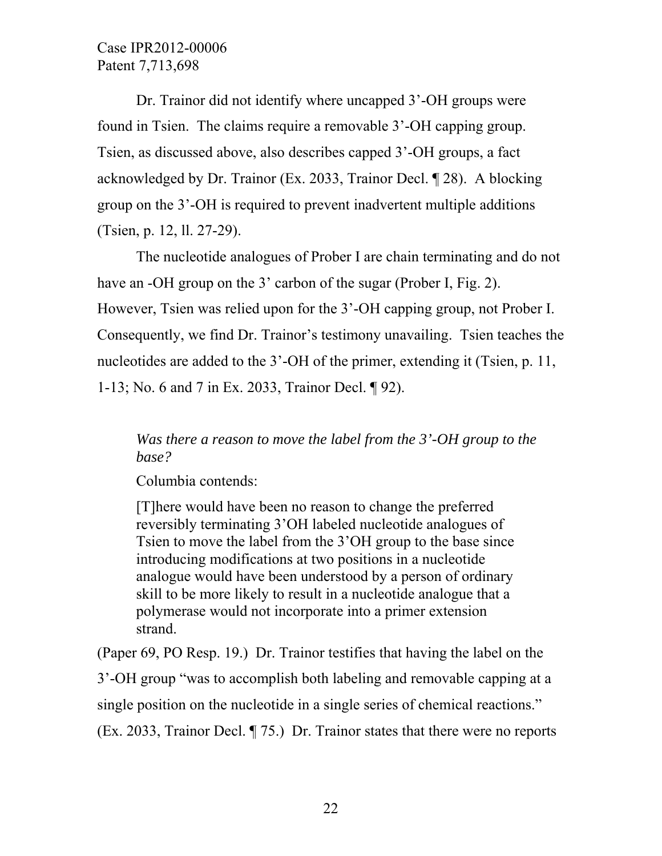Dr. Trainor did not identify where uncapped 3'-OH groups were found in Tsien. The claims require a removable 3'-OH capping group. Tsien, as discussed above, also describes capped 3'-OH groups, a fact acknowledged by Dr. Trainor (Ex. 2033, Trainor Decl. ¶ 28). A blocking group on the 3'-OH is required to prevent inadvertent multiple additions (Tsien, p. 12, ll. 27-29).

The nucleotide analogues of Prober I are chain terminating and do not have an -OH group on the 3' carbon of the sugar (Prober I, Fig. 2). However, Tsien was relied upon for the 3'-OH capping group, not Prober I. Consequently, we find Dr. Trainor's testimony unavailing. Tsien teaches the nucleotides are added to the 3'-OH of the primer, extending it (Tsien, p. 11, 1-13; No. 6 and 7 in Ex. 2033, Trainor Decl. ¶ 92).

## *Was there a reason to move the label from the 3'-OH group to the base?*

Columbia contends:

[T]here would have been no reason to change the preferred reversibly terminating 3'OH labeled nucleotide analogues of Tsien to move the label from the 3'OH group to the base since introducing modifications at two positions in a nucleotide analogue would have been understood by a person of ordinary skill to be more likely to result in a nucleotide analogue that a polymerase would not incorporate into a primer extension strand.

(Paper 69, PO Resp. 19.) Dr. Trainor testifies that having the label on the 3'-OH group "was to accomplish both labeling and removable capping at a single position on the nucleotide in a single series of chemical reactions." (Ex. 2033, Trainor Decl. ¶ 75.) Dr. Trainor states that there were no reports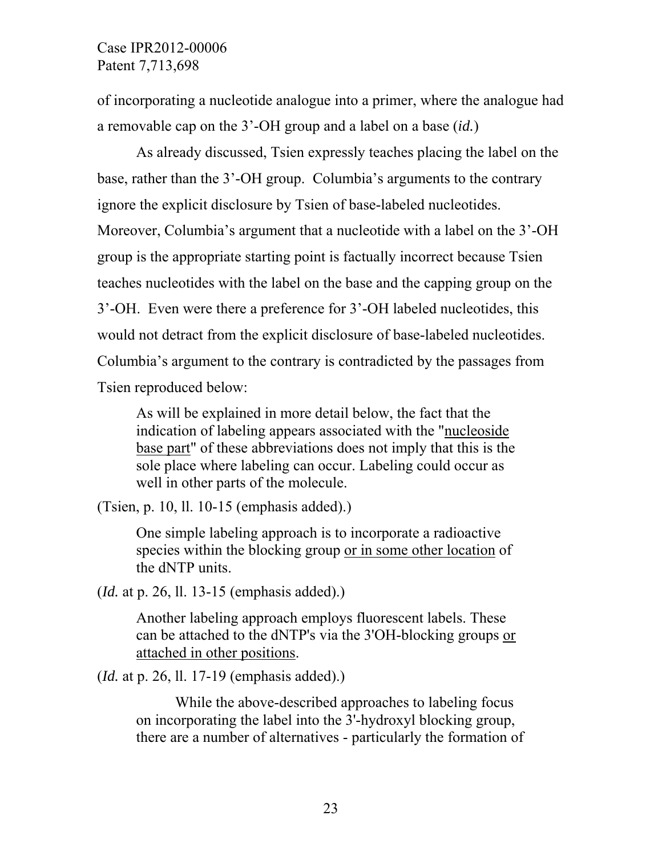of incorporating a nucleotide analogue into a primer, where the analogue had a removable cap on the 3'-OH group and a label on a base (*id.*)

 As already discussed, Tsien expressly teaches placing the label on the base, rather than the 3'-OH group. Columbia's arguments to the contrary ignore the explicit disclosure by Tsien of base-labeled nucleotides. Moreover, Columbia's argument that a nucleotide with a label on the 3'-OH group is the appropriate starting point is factually incorrect because Tsien teaches nucleotides with the label on the base and the capping group on the 3'-OH. Even were there a preference for 3'-OH labeled nucleotides, this would not detract from the explicit disclosure of base-labeled nucleotides. Columbia's argument to the contrary is contradicted by the passages from Tsien reproduced below:

As will be explained in more detail below, the fact that the indication of labeling appears associated with the "nucleoside base part" of these abbreviations does not imply that this is the sole place where labeling can occur. Labeling could occur as well in other parts of the molecule.

(Tsien, p. 10, ll. 10-15 (emphasis added).)

One simple labeling approach is to incorporate a radioactive species within the blocking group or in some other location of the dNTP units.

(*Id.* at p. 26, ll. 13-15 (emphasis added).)

Another labeling approach employs fluorescent labels. These can be attached to the dNTP's via the 3'OH-blocking groups or attached in other positions.

(*Id.* at p. 26, ll. 17-19 (emphasis added).)

While the above-described approaches to labeling focus on incorporating the label into the 3'-hydroxyl blocking group, there are a number of alternatives - particularly the formation of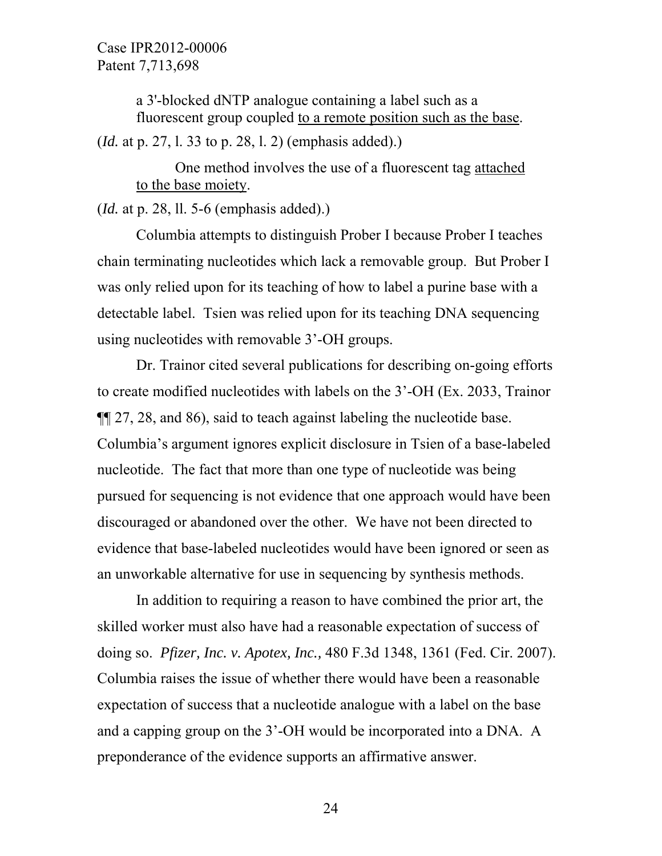> a 3'-blocked dNTP analogue containing a label such as a fluorescent group coupled to a remote position such as the base.

(*Id.* at p. 27, l. 33 to p. 28, l. 2) (emphasis added).)

One method involves the use of a fluorescent tag attached to the base moiety.

(*Id.* at p. 28, ll. 5-6 (emphasis added).)

Columbia attempts to distinguish Prober I because Prober I teaches chain terminating nucleotides which lack a removable group. But Prober I was only relied upon for its teaching of how to label a purine base with a detectable label. Tsien was relied upon for its teaching DNA sequencing using nucleotides with removable 3'-OH groups.

Dr. Trainor cited several publications for describing on-going efforts to create modified nucleotides with labels on the 3'-OH (Ex. 2033, Trainor ¶¶ 27, 28, and 86), said to teach against labeling the nucleotide base. Columbia's argument ignores explicit disclosure in Tsien of a base-labeled nucleotide. The fact that more than one type of nucleotide was being pursued for sequencing is not evidence that one approach would have been discouraged or abandoned over the other. We have not been directed to evidence that base-labeled nucleotides would have been ignored or seen as an unworkable alternative for use in sequencing by synthesis methods.

In addition to requiring a reason to have combined the prior art, the skilled worker must also have had a reasonable expectation of success of doing so. *Pfizer, Inc. v. Apotex, Inc.,* 480 F.3d 1348, 1361 (Fed. Cir. 2007). Columbia raises the issue of whether there would have been a reasonable expectation of success that a nucleotide analogue with a label on the base and a capping group on the 3'-OH would be incorporated into a DNA. A preponderance of the evidence supports an affirmative answer.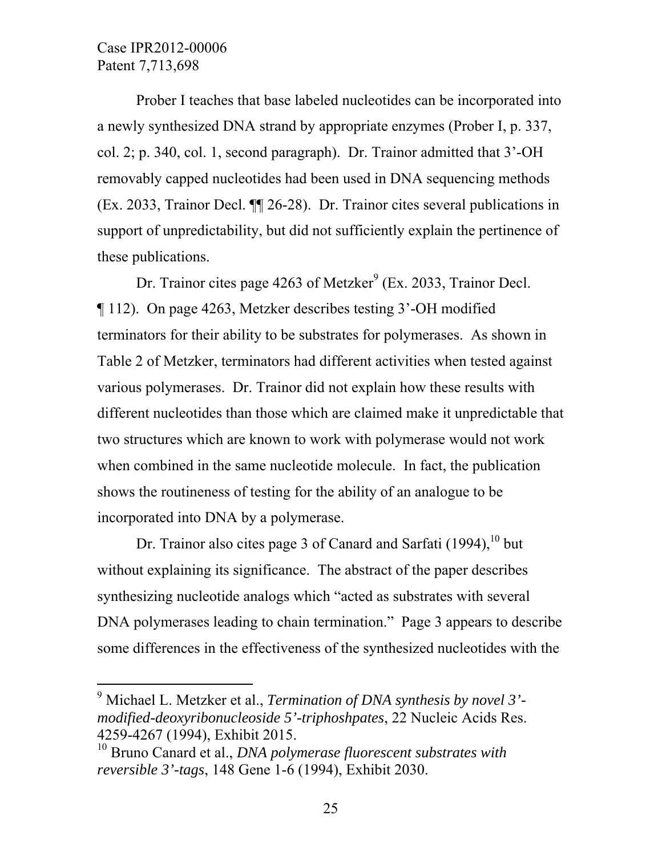$\overline{a}$ 

Prober I teaches that base labeled nucleotides can be incorporated into a newly synthesized DNA strand by appropriate enzymes (Prober I, p. 337, col. 2; p. 340, col. 1, second paragraph). Dr. Trainor admitted that 3'-OH removably capped nucleotides had been used in DNA sequencing methods (Ex. 2033, Trainor Decl. ¶¶ 26-28). Dr. Trainor cites several publications in support of unpredictability, but did not sufficiently explain the pertinence of these publications.

Dr. Trainor cites page 4263 of Metzker<sup>9</sup> (Ex. 2033, Trainor Decl. ¶ 112). On page 4263, Metzker describes testing 3'-OH modified terminators for their ability to be substrates for polymerases. As shown in Table 2 of Metzker, terminators had different activities when tested against various polymerases. Dr. Trainor did not explain how these results with different nucleotides than those which are claimed make it unpredictable that two structures which are known to work with polymerase would not work when combined in the same nucleotide molecule. In fact, the publication shows the routineness of testing for the ability of an analogue to be incorporated into DNA by a polymerase.

Dr. Trainor also cites page 3 of Canard and Sarfati  $(1994)$ ,  $^{10}$  but without explaining its significance. The abstract of the paper describes synthesizing nucleotide analogs which "acted as substrates with several DNA polymerases leading to chain termination." Page 3 appears to describe some differences in the effectiveness of the synthesized nucleotides with the

<sup>9</sup> Michael L. Metzker et al., *Termination of DNA synthesis by novel 3' modified-deoxyribonucleoside 5'-triphoshpates*, 22 Nucleic Acids Res. 4259-4267 (1994), Exhibit 2015.

<sup>10</sup> Bruno Canard et al., *DNA polymerase fluorescent substrates with reversible 3'-tags*, 148 Gene 1-6 (1994), Exhibit 2030.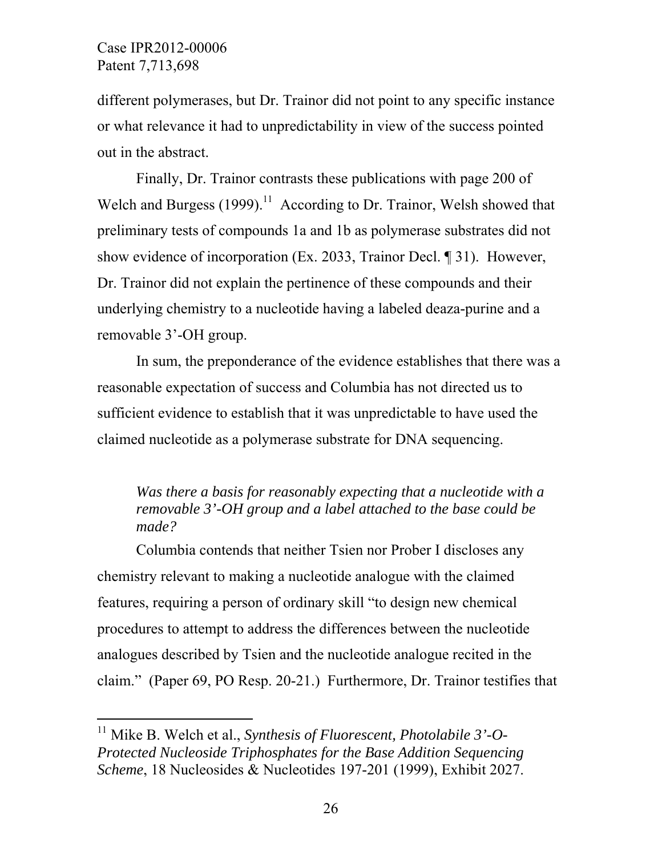$\overline{a}$ 

different polymerases, but Dr. Trainor did not point to any specific instance or what relevance it had to unpredictability in view of the success pointed out in the abstract.

Finally, Dr. Trainor contrasts these publications with page 200 of Welch and Burgess  $(1999)$ <sup>11</sup> According to Dr. Trainor, Welsh showed that preliminary tests of compounds 1a and 1b as polymerase substrates did not show evidence of incorporation (Ex. 2033, Trainor Decl. ¶ 31). However, Dr. Trainor did not explain the pertinence of these compounds and their underlying chemistry to a nucleotide having a labeled deaza-purine and a removable 3'-OH group.

In sum, the preponderance of the evidence establishes that there was a reasonable expectation of success and Columbia has not directed us to sufficient evidence to establish that it was unpredictable to have used the claimed nucleotide as a polymerase substrate for DNA sequencing.

## *Was there a basis for reasonably expecting that a nucleotide with a removable 3'-OH group and a label attached to the base could be made?*

 Columbia contends that neither Tsien nor Prober I discloses any chemistry relevant to making a nucleotide analogue with the claimed features, requiring a person of ordinary skill "to design new chemical procedures to attempt to address the differences between the nucleotide analogues described by Tsien and the nucleotide analogue recited in the claim." (Paper 69, PO Resp. 20-21.) Furthermore, Dr. Trainor testifies that

<sup>&</sup>lt;sup>11</sup> Mike B. Welch et al., *Synthesis of Fluorescent, Photolabile 3'-O-Protected Nucleoside Triphosphates for the Base Addition Sequencing Scheme*, 18 Nucleosides & Nucleotides 197-201 (1999), Exhibit 2027.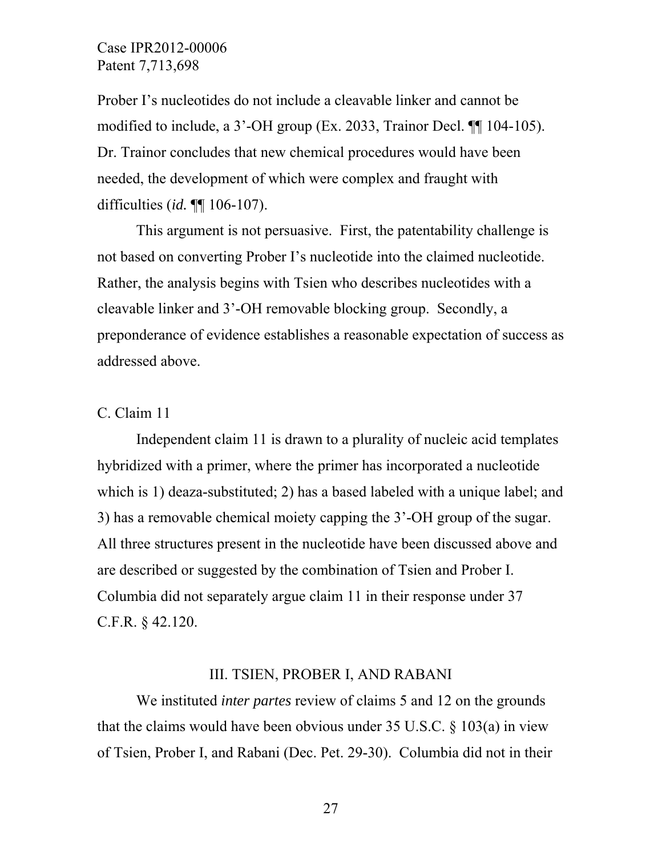Prober I's nucleotides do not include a cleavable linker and cannot be modified to include, a 3'-OH group (Ex. 2033, Trainor Decl. ¶¶ 104-105). Dr. Trainor concludes that new chemical procedures would have been needed, the development of which were complex and fraught with difficulties (*id.* ¶¶ 106-107).

 This argument is not persuasive. First, the patentability challenge is not based on converting Prober I's nucleotide into the claimed nucleotide. Rather, the analysis begins with Tsien who describes nucleotides with a cleavable linker and 3'-OH removable blocking group. Secondly, a preponderance of evidence establishes a reasonable expectation of success as addressed above.

C. Claim 11

Independent claim 11 is drawn to a plurality of nucleic acid templates hybridized with a primer, where the primer has incorporated a nucleotide which is 1) deaza-substituted; 2) has a based labeled with a unique label; and 3) has a removable chemical moiety capping the 3'-OH group of the sugar. All three structures present in the nucleotide have been discussed above and are described or suggested by the combination of Tsien and Prober I. Columbia did not separately argue claim 11 in their response under 37 C.F.R. § 42.120.

#### III. TSIEN, PROBER I, AND RABANI

We instituted *inter partes* review of claims 5 and 12 on the grounds that the claims would have been obvious under  $35 \text{ U.S.C.} \& 103(a)$  in view of Tsien, Prober I, and Rabani (Dec. Pet. 29-30). Columbia did not in their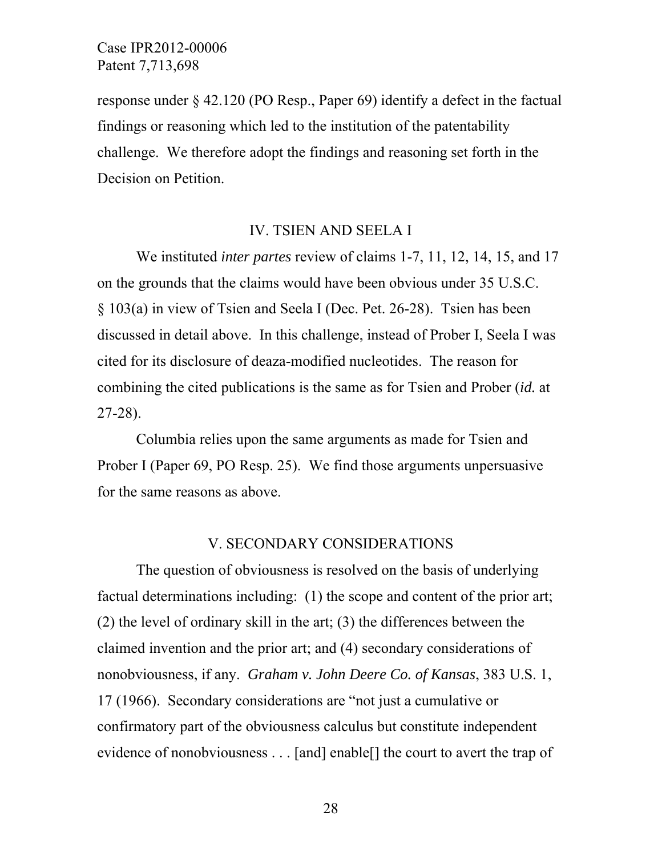response under § 42.120 (PO Resp., Paper 69) identify a defect in the factual findings or reasoning which led to the institution of the patentability challenge. We therefore adopt the findings and reasoning set forth in the Decision on Petition.

#### IV. TSIEN AND SEELA I

We instituted *inter partes* review of claims 1-7, 11, 12, 14, 15, and 17 on the grounds that the claims would have been obvious under 35 U.S.C. § 103(a) in view of Tsien and Seela I (Dec. Pet. 26-28). Tsien has been discussed in detail above. In this challenge, instead of Prober I, Seela I was cited for its disclosure of deaza-modified nucleotides. The reason for combining the cited publications is the same as for Tsien and Prober (*id.* at 27-28).

Columbia relies upon the same arguments as made for Tsien and Prober I (Paper 69, PO Resp. 25). We find those arguments unpersuasive for the same reasons as above.

#### V. SECONDARY CONSIDERATIONS

The question of obviousness is resolved on the basis of underlying factual determinations including: (1) the scope and content of the prior art; (2) the level of ordinary skill in the art; (3) the differences between the claimed invention and the prior art; and (4) secondary considerations of nonobviousness, if any. *Graham v. John Deere Co. of Kansas*, 383 U.S. 1, 17 (1966). Secondary considerations are "not just a cumulative or confirmatory part of the obviousness calculus but constitute independent evidence of nonobviousness . . . [and] enable[] the court to avert the trap of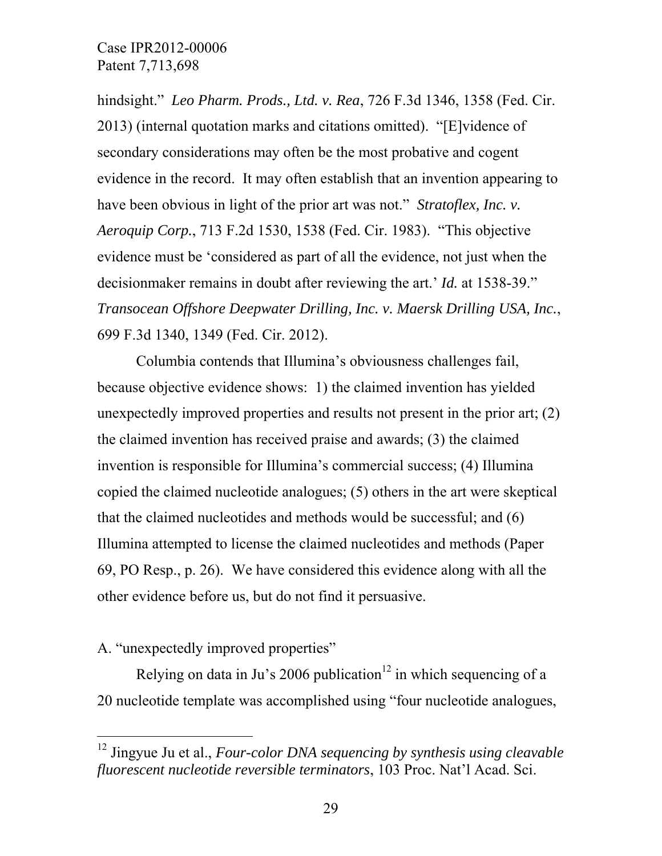hindsight." *Leo Pharm. Prods., Ltd. v. Rea*, 726 F.3d 1346, 1358 (Fed. Cir. 2013) (internal quotation marks and citations omitted). "[E]vidence of secondary considerations may often be the most probative and cogent evidence in the record. It may often establish that an invention appearing to have been obvious in light of the prior art was not." *Stratoflex, Inc. v. Aeroquip Corp.*, 713 F.2d 1530, 1538 (Fed. Cir. 1983). "This objective evidence must be 'considered as part of all the evidence, not just when the decisionmaker remains in doubt after reviewing the art.' *Id.* at 1538-39." *Transocean Offshore Deepwater Drilling, Inc. v. Maersk Drilling USA, Inc.*, 699 F.3d 1340, 1349 (Fed. Cir. 2012).

Columbia contends that Illumina's obviousness challenges fail, because objective evidence shows: 1) the claimed invention has yielded unexpectedly improved properties and results not present in the prior art; (2) the claimed invention has received praise and awards; (3) the claimed invention is responsible for Illumina's commercial success; (4) Illumina copied the claimed nucleotide analogues; (5) others in the art were skeptical that the claimed nucleotides and methods would be successful; and (6) Illumina attempted to license the claimed nucleotides and methods (Paper 69, PO Resp., p. 26). We have considered this evidence along with all the other evidence before us, but do not find it persuasive.

## A. "unexpectedly improved properties"

 $\overline{a}$ 

Relying on data in Ju's 2006 publication<sup>12</sup> in which sequencing of a 20 nucleotide template was accomplished using "four nucleotide analogues,

<sup>12</sup> Jingyue Ju et al., *Four-color DNA sequencing by synthesis using cleavable fluorescent nucleotide reversible terminators*, 103 Proc. Nat'l Acad. Sci.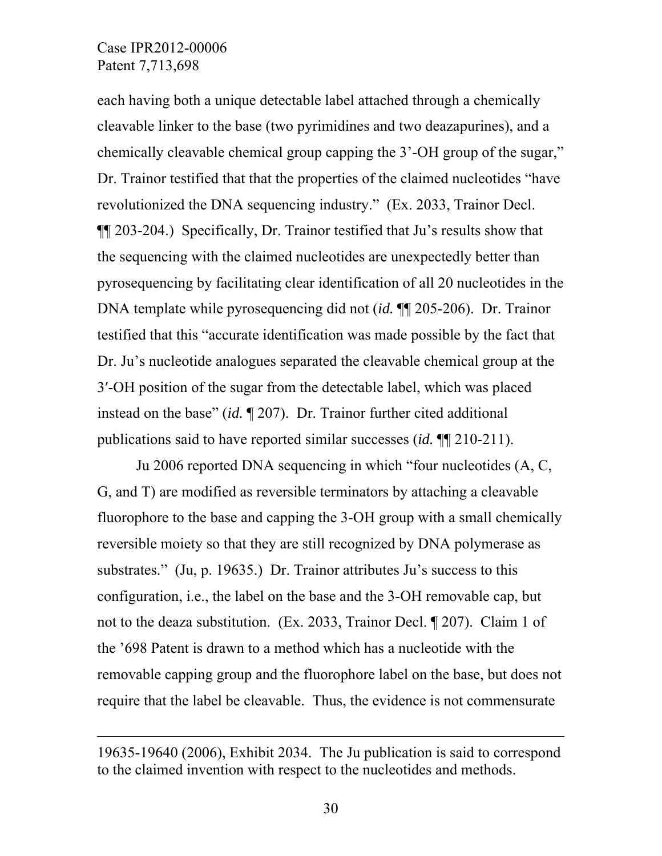-

each having both a unique detectable label attached through a chemically cleavable linker to the base (two pyrimidines and two deazapurines), and a chemically cleavable chemical group capping the 3'-OH group of the sugar," Dr. Trainor testified that that the properties of the claimed nucleotides "have revolutionized the DNA sequencing industry." (Ex. 2033, Trainor Decl. ¶¶ 203-204.) Specifically, Dr. Trainor testified that Ju's results show that the sequencing with the claimed nucleotides are unexpectedly better than pyrosequencing by facilitating clear identification of all 20 nucleotides in the DNA template while pyrosequencing did not (*id.* ¶¶ 205-206). Dr. Trainor testified that this "accurate identification was made possible by the fact that Dr. Ju's nucleotide analogues separated the cleavable chemical group at the 3′-OH position of the sugar from the detectable label, which was placed instead on the base" (*id.* ¶ 207). Dr. Trainor further cited additional publications said to have reported similar successes (*id.* ¶¶ 210-211).

Ju 2006 reported DNA sequencing in which "four nucleotides (A, C, G, and T) are modified as reversible terminators by attaching a cleavable fluorophore to the base and capping the 3-OH group with a small chemically reversible moiety so that they are still recognized by DNA polymerase as substrates." (Ju, p. 19635.) Dr. Trainor attributes Ju's success to this configuration, i.e., the label on the base and the 3-OH removable cap, but not to the deaza substitution. (Ex. 2033, Trainor Decl. ¶ 207). Claim 1 of the '698 Patent is drawn to a method which has a nucleotide with the removable capping group and the fluorophore label on the base, but does not require that the label be cleavable. Thus, the evidence is not commensurate

<sup>19635-19640 (2006),</sup> Exhibit 2034. The Ju publication is said to correspond to the claimed invention with respect to the nucleotides and methods.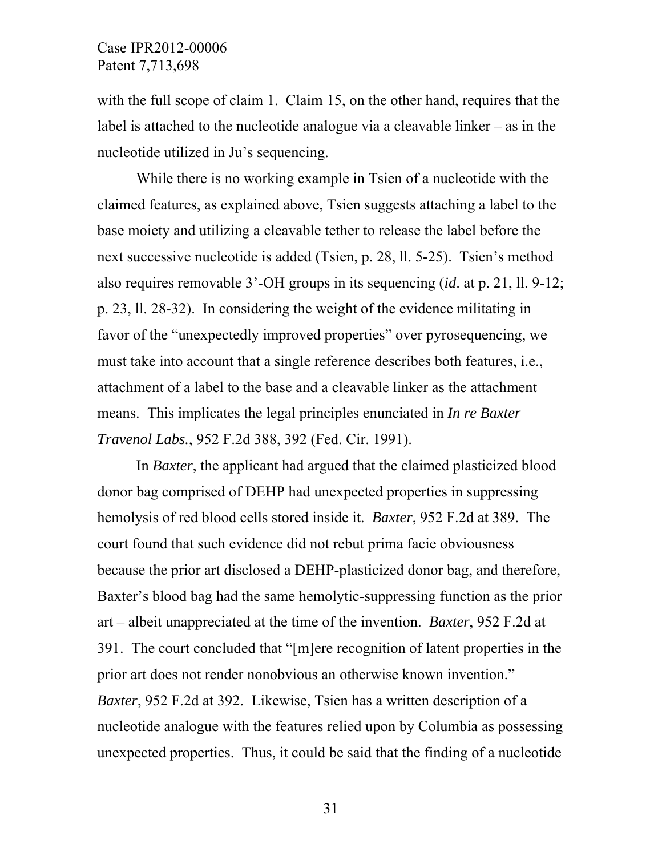with the full scope of claim 1. Claim 15, on the other hand, requires that the label is attached to the nucleotide analogue via a cleavable linker – as in the nucleotide utilized in Ju's sequencing.

While there is no working example in Tsien of a nucleotide with the claimed features, as explained above, Tsien suggests attaching a label to the base moiety and utilizing a cleavable tether to release the label before the next successive nucleotide is added (Tsien, p. 28, ll. 5-25). Tsien's method also requires removable 3'-OH groups in its sequencing (*id*. at p. 21, ll. 9-12; p. 23, ll. 28-32). In considering the weight of the evidence militating in favor of the "unexpectedly improved properties" over pyrosequencing, we must take into account that a single reference describes both features, i.e., attachment of a label to the base and a cleavable linker as the attachment means. This implicates the legal principles enunciated in *In re Baxter Travenol Labs.*, 952 F.2d 388, 392 (Fed. Cir. 1991).

 In *Baxter*, the applicant had argued that the claimed plasticized blood donor bag comprised of DEHP had unexpected properties in suppressing hemolysis of red blood cells stored inside it. *Baxter*, 952 F.2d at 389. The court found that such evidence did not rebut prima facie obviousness because the prior art disclosed a DEHP-plasticized donor bag, and therefore, Baxter's blood bag had the same hemolytic-suppressing function as the prior art – albeit unappreciated at the time of the invention. *Baxter*, 952 F.2d at 391. The court concluded that "[m]ere recognition of latent properties in the prior art does not render nonobvious an otherwise known invention." *Baxter*, 952 F.2d at 392. Likewise, Tsien has a written description of a nucleotide analogue with the features relied upon by Columbia as possessing unexpected properties. Thus, it could be said that the finding of a nucleotide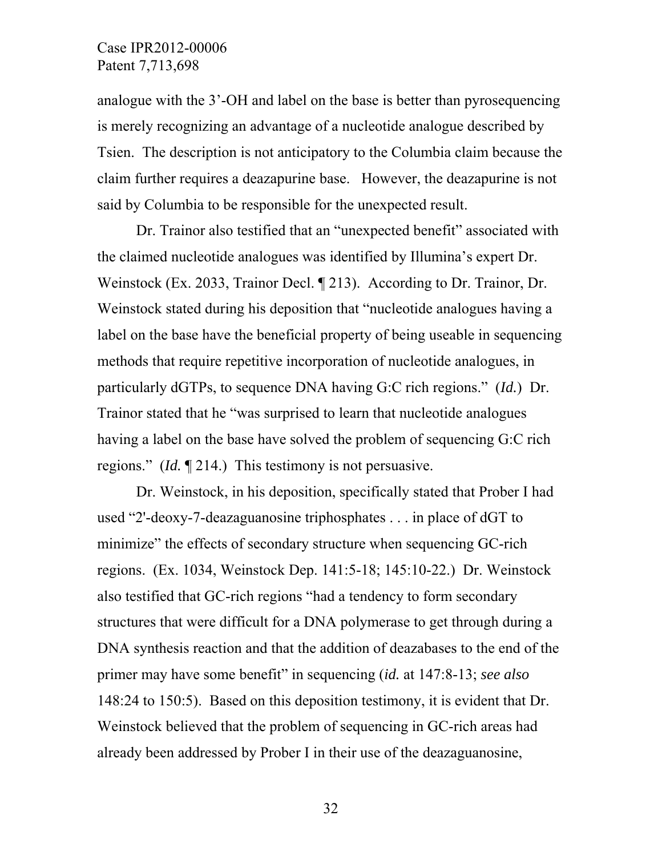analogue with the 3'-OH and label on the base is better than pyrosequencing is merely recognizing an advantage of a nucleotide analogue described by Tsien. The description is not anticipatory to the Columbia claim because the claim further requires a deazapurine base. However, the deazapurine is not said by Columbia to be responsible for the unexpected result.

Dr. Trainor also testified that an "unexpected benefit" associated with the claimed nucleotide analogues was identified by Illumina's expert Dr. Weinstock (Ex. 2033, Trainor Decl. ¶ 213). According to Dr. Trainor, Dr. Weinstock stated during his deposition that "nucleotide analogues having a label on the base have the beneficial property of being useable in sequencing methods that require repetitive incorporation of nucleotide analogues, in particularly dGTPs, to sequence DNA having G:C rich regions." (*Id.*) Dr. Trainor stated that he "was surprised to learn that nucleotide analogues having a label on the base have solved the problem of sequencing G:C rich regions." (*Id.* ¶ 214.) This testimony is not persuasive.

Dr. Weinstock, in his deposition, specifically stated that Prober I had used "2'-deoxy-7-deazaguanosine triphosphates . . . in place of dGT to minimize" the effects of secondary structure when sequencing GC-rich regions. (Ex. 1034, Weinstock Dep. 141:5-18; 145:10-22.) Dr. Weinstock also testified that GC-rich regions "had a tendency to form secondary structures that were difficult for a DNA polymerase to get through during a DNA synthesis reaction and that the addition of deazabases to the end of the primer may have some benefit" in sequencing (*id.* at 147:8-13; *see also* 148:24 to 150:5). Based on this deposition testimony, it is evident that Dr. Weinstock believed that the problem of sequencing in GC-rich areas had already been addressed by Prober I in their use of the deazaguanosine,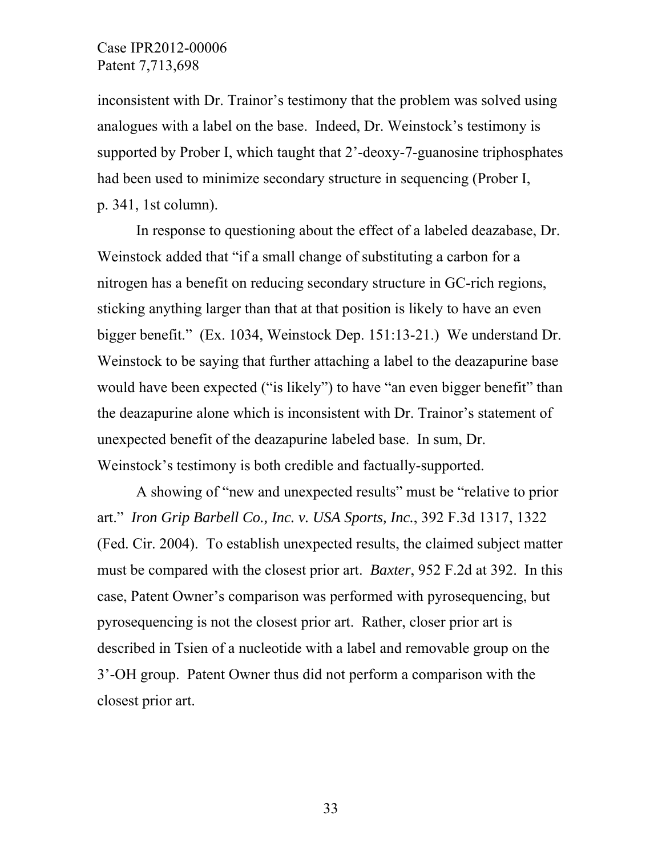inconsistent with Dr. Trainor's testimony that the problem was solved using analogues with a label on the base. Indeed, Dr. Weinstock's testimony is supported by Prober I, which taught that 2'-deoxy-7-guanosine triphosphates had been used to minimize secondary structure in sequencing (Prober I, p. 341, 1st column).

In response to questioning about the effect of a labeled deazabase, Dr. Weinstock added that "if a small change of substituting a carbon for a nitrogen has a benefit on reducing secondary structure in GC-rich regions, sticking anything larger than that at that position is likely to have an even bigger benefit." (Ex. 1034, Weinstock Dep. 151:13-21.) We understand Dr. Weinstock to be saying that further attaching a label to the deazapurine base would have been expected ("is likely") to have "an even bigger benefit" than the deazapurine alone which is inconsistent with Dr. Trainor's statement of unexpected benefit of the deazapurine labeled base. In sum, Dr. Weinstock's testimony is both credible and factually-supported.

A showing of "new and unexpected results" must be "relative to prior art." *Iron Grip Barbell Co., Inc. v. USA Sports, Inc.*, 392 F.3d 1317, 1322 (Fed. Cir. 2004). To establish unexpected results, the claimed subject matter must be compared with the closest prior art. *Baxter*, 952 F.2d at 392. In this case, Patent Owner's comparison was performed with pyrosequencing, but pyrosequencing is not the closest prior art. Rather, closer prior art is described in Tsien of a nucleotide with a label and removable group on the 3'-OH group. Patent Owner thus did not perform a comparison with the closest prior art.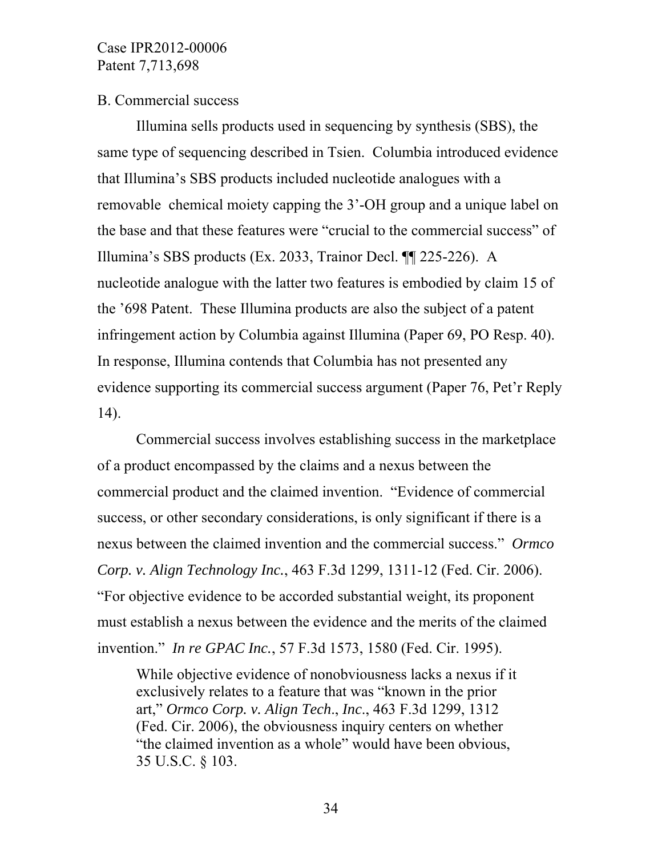#### B. Commercial success

 Illumina sells products used in sequencing by synthesis (SBS), the same type of sequencing described in Tsien. Columbia introduced evidence that Illumina's SBS products included nucleotide analogues with a removable chemical moiety capping the 3'-OH group and a unique label on the base and that these features were "crucial to the commercial success" of Illumina's SBS products (Ex. 2033, Trainor Decl. ¶¶ 225-226). A nucleotide analogue with the latter two features is embodied by claim 15 of the '698 Patent. These Illumina products are also the subject of a patent infringement action by Columbia against Illumina (Paper 69, PO Resp. 40). In response, Illumina contends that Columbia has not presented any evidence supporting its commercial success argument (Paper 76, Pet'r Reply 14).

Commercial success involves establishing success in the marketplace of a product encompassed by the claims and a nexus between the commercial product and the claimed invention. "Evidence of commercial success, or other secondary considerations, is only significant if there is a nexus between the claimed invention and the commercial success." *Ormco Corp. v. Align Technology Inc.*, 463 F.3d 1299, 1311-12 (Fed. Cir. 2006). "For objective evidence to be accorded substantial weight, its proponent must establish a nexus between the evidence and the merits of the claimed invention." *In re GPAC Inc.*, 57 F.3d 1573, 1580 (Fed. Cir. 1995).

While objective evidence of nonobviousness lacks a nexus if it exclusively relates to a feature that was "known in the prior art," *Ormco Corp. v. Align Tech*., *Inc*., 463 F.3d 1299, 1312 (Fed. Cir. 2006), the obviousness inquiry centers on whether "the claimed invention as a whole" would have been obvious, 35 U.S.C. § 103.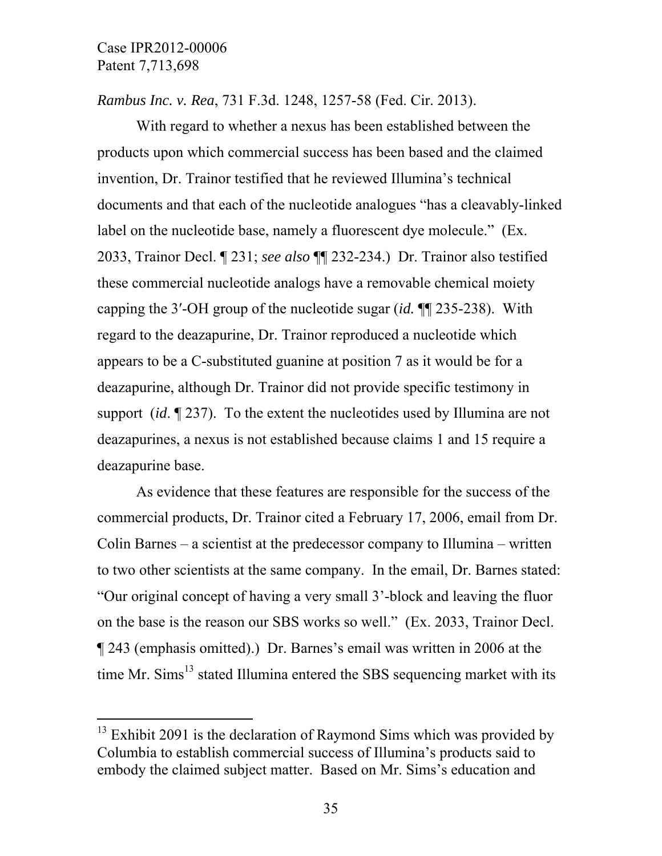$\overline{a}$ 

*Rambus Inc. v. Rea*, 731 F.3d. 1248, 1257-58 (Fed. Cir. 2013).

With regard to whether a nexus has been established between the products upon which commercial success has been based and the claimed invention, Dr. Trainor testified that he reviewed Illumina's technical documents and that each of the nucleotide analogues "has a cleavably-linked label on the nucleotide base, namely a fluorescent dye molecule." (Ex. 2033, Trainor Decl. ¶ 231; *see also* ¶¶ 232-234.) Dr. Trainor also testified these commercial nucleotide analogs have a removable chemical moiety capping the 3′-OH group of the nucleotide sugar (*id.* ¶¶ 235-238). With regard to the deazapurine, Dr. Trainor reproduced a nucleotide which appears to be a C-substituted guanine at position 7 as it would be for a deazapurine, although Dr. Trainor did not provide specific testimony in support (*id*. ¶ 237). To the extent the nucleotides used by Illumina are not deazapurines, a nexus is not established because claims 1 and 15 require a deazapurine base.

As evidence that these features are responsible for the success of the commercial products, Dr. Trainor cited a February 17, 2006, email from Dr. Colin Barnes – a scientist at the predecessor company to Illumina – written to two other scientists at the same company. In the email, Dr. Barnes stated: "Our original concept of having a very small 3'-block and leaving the fluor on the base is the reason our SBS works so well." (Ex. 2033, Trainor Decl. ¶ 243 (emphasis omitted).) Dr. Barnes's email was written in 2006 at the time Mr.  $\text{Sims}^{13}$  stated Illumina entered the SBS sequencing market with its

 $13$  Exhibit 2091 is the declaration of Raymond Sims which was provided by Columbia to establish commercial success of Illumina's products said to embody the claimed subject matter. Based on Mr. Sims's education and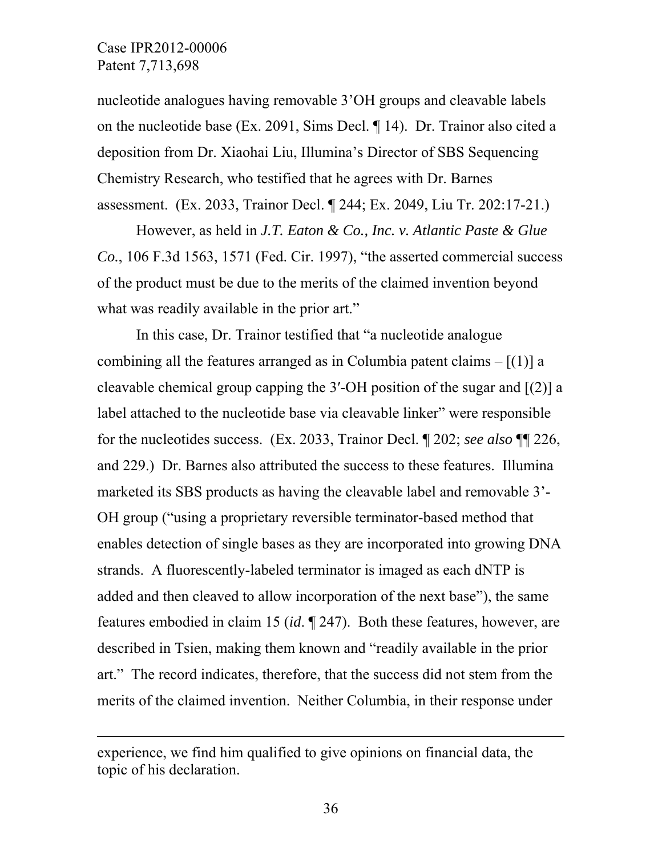$\overline{a}$ 

nucleotide analogues having removable 3'OH groups and cleavable labels on the nucleotide base (Ex. 2091, Sims Decl. ¶ 14). Dr. Trainor also cited a deposition from Dr. Xiaohai Liu, Illumina's Director of SBS Sequencing Chemistry Research, who testified that he agrees with Dr. Barnes assessment. (Ex. 2033, Trainor Decl. ¶ 244; Ex. 2049, Liu Tr. 202:17-21.)

However, as held in *J.T. Eaton & Co., Inc. v. Atlantic Paste & Glue Co.*, 106 F.3d 1563, 1571 (Fed. Cir. 1997), "the asserted commercial success of the product must be due to the merits of the claimed invention beyond what was readily available in the prior art."

In this case, Dr. Trainor testified that "a nucleotide analogue combining all the features arranged as in Columbia patent claims  $-[1]$  a cleavable chemical group capping the 3′-OH position of the sugar and [(2)] a label attached to the nucleotide base via cleavable linker" were responsible for the nucleotides success. (Ex. 2033, Trainor Decl. ¶ 202; *see also* ¶¶ 226, and 229.) Dr. Barnes also attributed the success to these features. Illumina marketed its SBS products as having the cleavable label and removable 3'- OH group ("using a proprietary reversible terminator-based method that enables detection of single bases as they are incorporated into growing DNA strands. A fluorescently-labeled terminator is imaged as each dNTP is added and then cleaved to allow incorporation of the next base"), the same features embodied in claim 15 (*id*. ¶ 247). Both these features, however, are described in Tsien, making them known and "readily available in the prior art." The record indicates, therefore, that the success did not stem from the merits of the claimed invention. Neither Columbia, in their response under

experience, we find him qualified to give opinions on financial data, the topic of his declaration.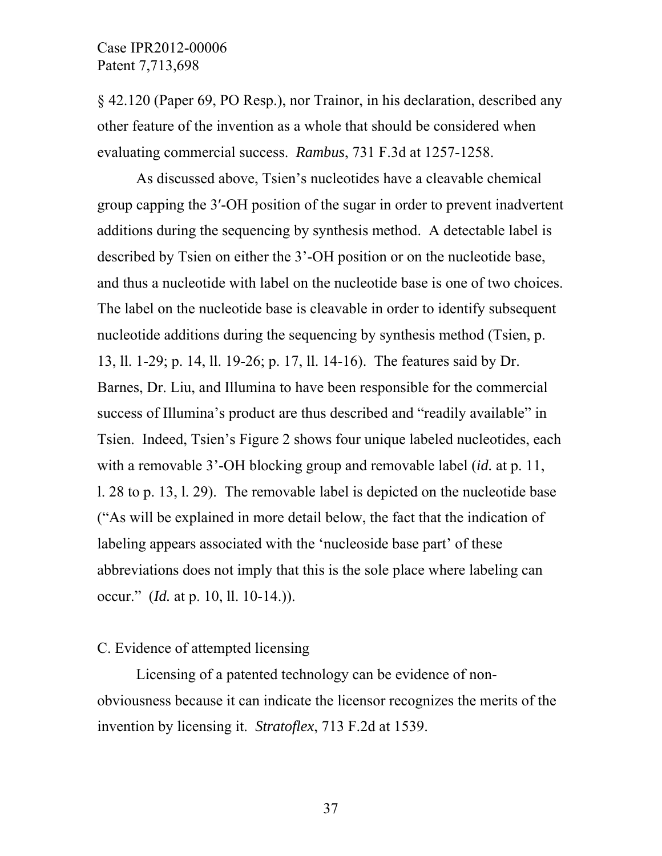§ 42.120 (Paper 69, PO Resp.), nor Trainor, in his declaration, described any other feature of the invention as a whole that should be considered when evaluating commercial success. *Rambus*, 731 F.3d at 1257-1258.

As discussed above, Tsien's nucleotides have a cleavable chemical group capping the 3′-OH position of the sugar in order to prevent inadvertent additions during the sequencing by synthesis method. A detectable label is described by Tsien on either the 3'-OH position or on the nucleotide base, and thus a nucleotide with label on the nucleotide base is one of two choices. The label on the nucleotide base is cleavable in order to identify subsequent nucleotide additions during the sequencing by synthesis method (Tsien, p. 13, ll. 1-29; p. 14, ll. 19-26; p. 17, ll. 14-16). The features said by Dr. Barnes, Dr. Liu, and Illumina to have been responsible for the commercial success of Illumina's product are thus described and "readily available" in Tsien. Indeed, Tsien's Figure 2 shows four unique labeled nucleotides, each with a removable 3'-OH blocking group and removable label (*id.* at p. 11, l. 28 to p. 13, l. 29). The removable label is depicted on the nucleotide base ("As will be explained in more detail below, the fact that the indication of labeling appears associated with the 'nucleoside base part' of these abbreviations does not imply that this is the sole place where labeling can occur." (*Id.* at p. 10, ll. 10-14.)).

## C. Evidence of attempted licensing

 Licensing of a patented technology can be evidence of nonobviousness because it can indicate the licensor recognizes the merits of the invention by licensing it. *Stratoflex*, 713 F.2d at 1539.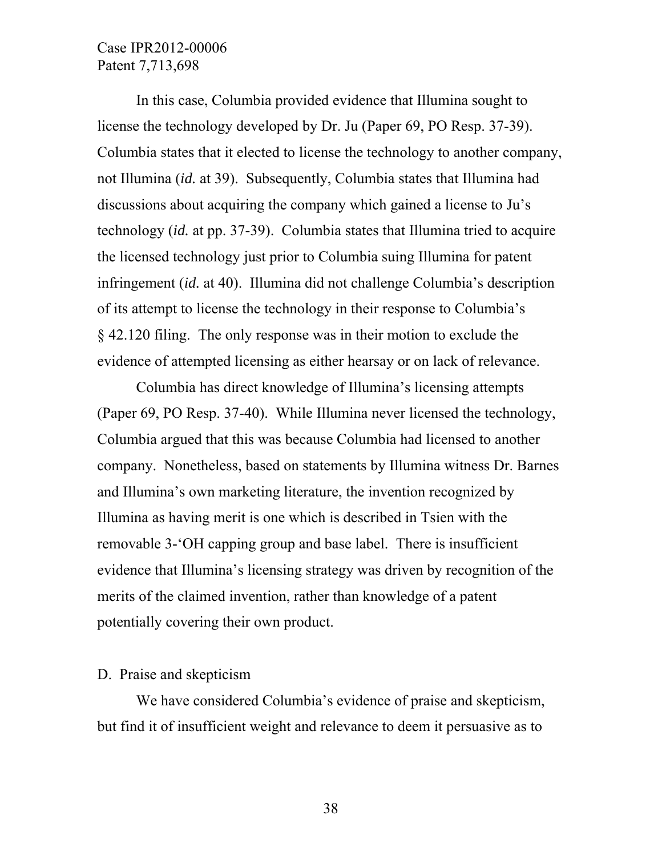In this case, Columbia provided evidence that Illumina sought to license the technology developed by Dr. Ju (Paper 69, PO Resp. 37-39). Columbia states that it elected to license the technology to another company, not Illumina (*id.* at 39). Subsequently, Columbia states that Illumina had discussions about acquiring the company which gained a license to Ju's technology (*id.* at pp. 37-39). Columbia states that Illumina tried to acquire the licensed technology just prior to Columbia suing Illumina for patent infringement (*id.* at 40). Illumina did not challenge Columbia's description of its attempt to license the technology in their response to Columbia's § 42.120 filing. The only response was in their motion to exclude the evidence of attempted licensing as either hearsay or on lack of relevance.

 Columbia has direct knowledge of Illumina's licensing attempts (Paper 69, PO Resp. 37-40). While Illumina never licensed the technology, Columbia argued that this was because Columbia had licensed to another company. Nonetheless, based on statements by Illumina witness Dr. Barnes and Illumina's own marketing literature, the invention recognized by Illumina as having merit is one which is described in Tsien with the removable 3-'OH capping group and base label. There is insufficient evidence that Illumina's licensing strategy was driven by recognition of the merits of the claimed invention, rather than knowledge of a patent potentially covering their own product.

#### D. Praise and skepticism

 We have considered Columbia's evidence of praise and skepticism, but find it of insufficient weight and relevance to deem it persuasive as to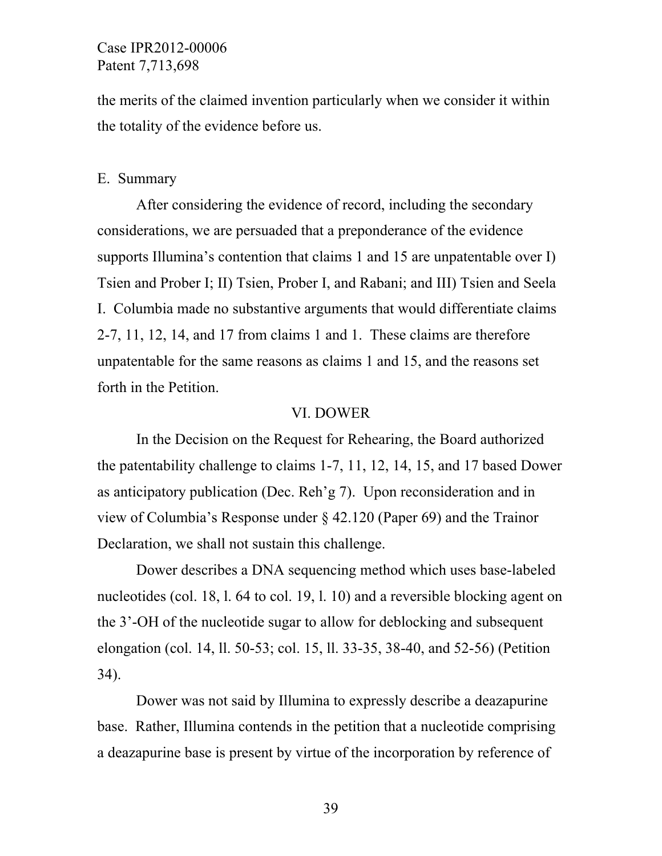the merits of the claimed invention particularly when we consider it within the totality of the evidence before us.

#### E. Summary

 After considering the evidence of record, including the secondary considerations, we are persuaded that a preponderance of the evidence supports Illumina's contention that claims 1 and 15 are unpatentable over I) Tsien and Prober I; II) Tsien, Prober I, and Rabani; and III) Tsien and Seela I. Columbia made no substantive arguments that would differentiate claims 2-7, 11, 12, 14, and 17 from claims 1 and 1. These claims are therefore unpatentable for the same reasons as claims 1 and 15, and the reasons set forth in the Petition.

#### VI. DOWER

 In the Decision on the Request for Rehearing, the Board authorized the patentability challenge to claims 1-7, 11, 12, 14, 15, and 17 based Dower as anticipatory publication (Dec. Reh'g 7). Upon reconsideration and in view of Columbia's Response under § 42.120 (Paper 69) and the Trainor Declaration, we shall not sustain this challenge.

Dower describes a DNA sequencing method which uses base-labeled nucleotides (col. 18, l. 64 to col. 19, l. 10) and a reversible blocking agent on the 3'-OH of the nucleotide sugar to allow for deblocking and subsequent elongation (col. 14, ll. 50-53; col. 15, ll. 33-35, 38-40, and 52-56) (Petition 34).

Dower was not said by Illumina to expressly describe a deazapurine base. Rather, Illumina contends in the petition that a nucleotide comprising a deazapurine base is present by virtue of the incorporation by reference of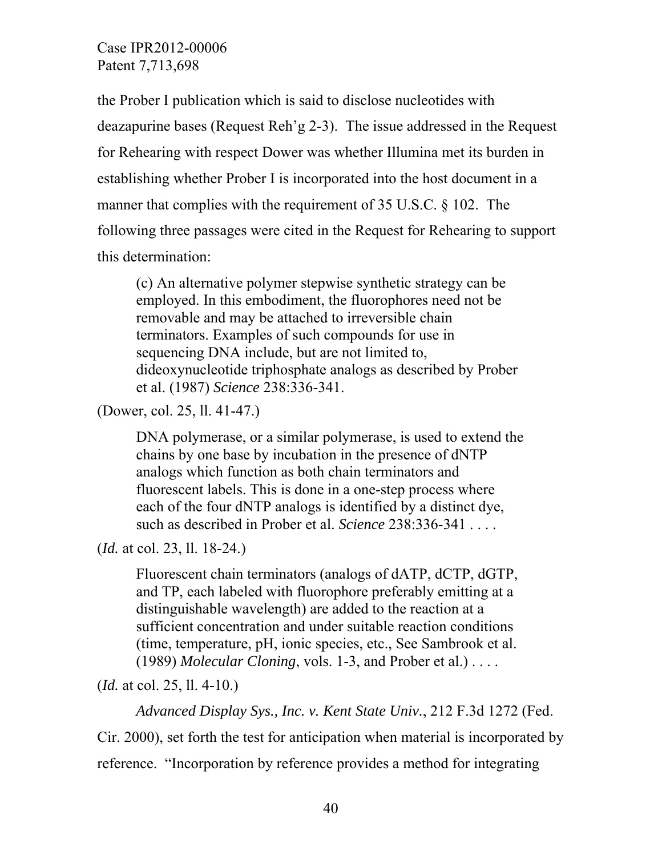the Prober I publication which is said to disclose nucleotides with deazapurine bases (Request Reh'g 2-3). The issue addressed in the Request for Rehearing with respect Dower was whether Illumina met its burden in establishing whether Prober I is incorporated into the host document in a manner that complies with the requirement of 35 U.S.C. § 102. The following three passages were cited in the Request for Rehearing to support this determination:

(c) An alternative polymer stepwise synthetic strategy can be employed. In this embodiment, the fluorophores need not be removable and may be attached to irreversible chain terminators. Examples of such compounds for use in sequencing DNA include, but are not limited to, dideoxynucleotide triphosphate analogs as described by Prober et al. (1987) *Science* 238:336-341.

(Dower, col. 25, ll. 41-47.)

DNA polymerase, or a similar polymerase, is used to extend the chains by one base by incubation in the presence of dNTP analogs which function as both chain terminators and fluorescent labels. This is done in a one-step process where each of the four dNTP analogs is identified by a distinct dye, such as described in Prober et al. *Science* 238:336-341 . . . .

(*Id.* at col. 23, ll. 18-24.)

Fluorescent chain terminators (analogs of dATP, dCTP, dGTP, and TP, each labeled with fluorophore preferably emitting at a distinguishable wavelength) are added to the reaction at a sufficient concentration and under suitable reaction conditions (time, temperature, pH, ionic species, etc., See Sambrook et al. (1989) *Molecular Cloning*, vols. 1-3, and Prober et al.) . . . .

(*Id.* at col. 25, ll. 4-10.)

*Advanced Display Sys., Inc. v. Kent State Univ.*, 212 F.3d 1272 (Fed.

Cir. 2000), set forth the test for anticipation when material is incorporated by reference. "Incorporation by reference provides a method for integrating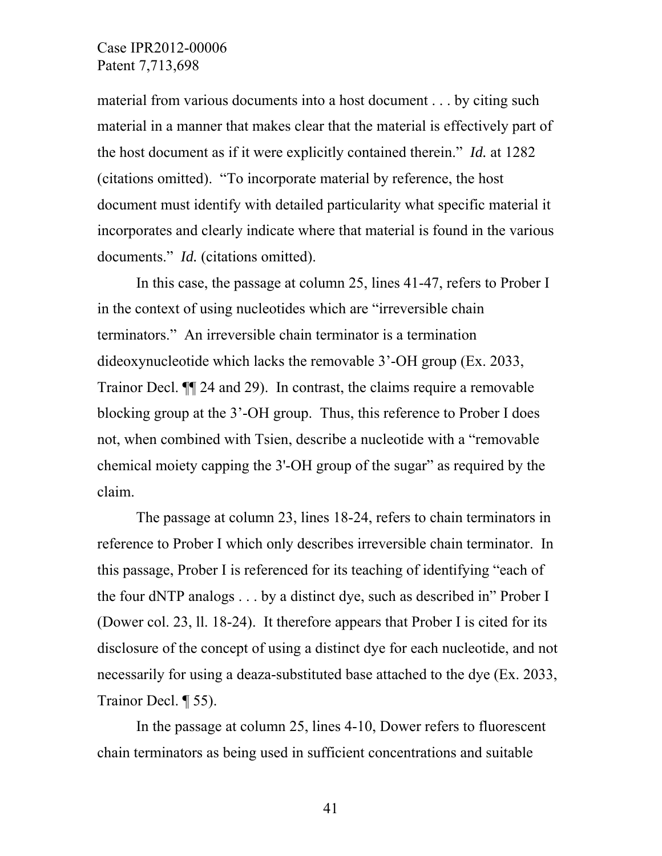material from various documents into a host document . . . by citing such material in a manner that makes clear that the material is effectively part of the host document as if it were explicitly contained therein." *Id.* at 1282 (citations omitted). "To incorporate material by reference, the host document must identify with detailed particularity what specific material it incorporates and clearly indicate where that material is found in the various documents." *Id.* (citations omitted).

In this case, the passage at column 25, lines 41-47, refers to Prober I in the context of using nucleotides which are "irreversible chain terminators." An irreversible chain terminator is a termination dideoxynucleotide which lacks the removable 3'-OH group (Ex. 2033, Trainor Decl. ¶¶ 24 and 29). In contrast, the claims require a removable blocking group at the 3'-OH group. Thus, this reference to Prober I does not, when combined with Tsien, describe a nucleotide with a "removable chemical moiety capping the 3'-OH group of the sugar" as required by the claim.

The passage at column 23, lines 18-24, refers to chain terminators in reference to Prober I which only describes irreversible chain terminator. In this passage, Prober I is referenced for its teaching of identifying "each of the four dNTP analogs . . . by a distinct dye, such as described in" Prober I (Dower col. 23, ll. 18-24). It therefore appears that Prober I is cited for its disclosure of the concept of using a distinct dye for each nucleotide, and not necessarily for using a deaza-substituted base attached to the dye (Ex. 2033, Trainor Decl. ¶ 55).

In the passage at column 25, lines 4-10, Dower refers to fluorescent chain terminators as being used in sufficient concentrations and suitable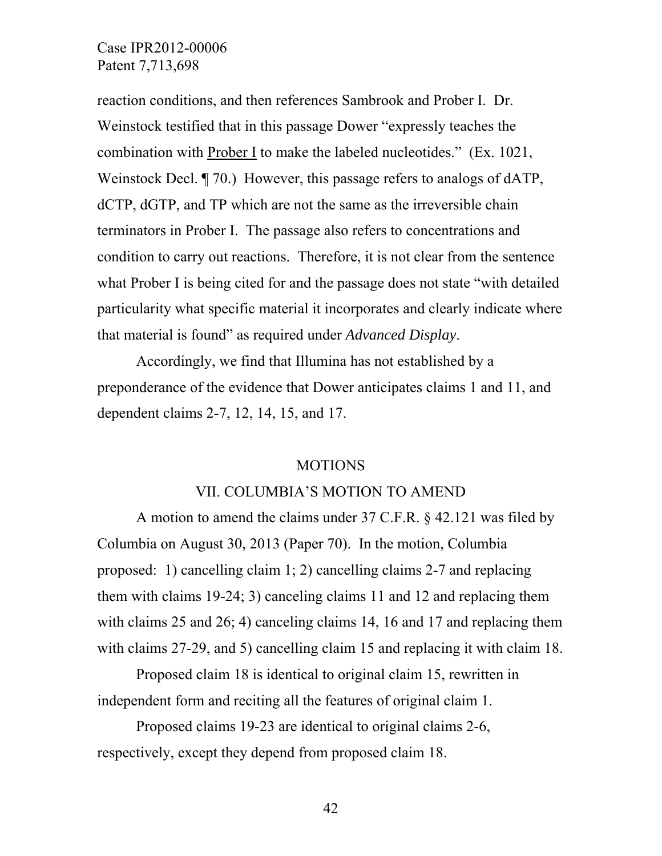reaction conditions, and then references Sambrook and Prober I. Dr. Weinstock testified that in this passage Dower "expressly teaches the combination with Prober I to make the labeled nucleotides." (Ex. 1021, Weinstock Decl. ¶ 70.) However, this passage refers to analogs of dATP, dCTP, dGTP, and TP which are not the same as the irreversible chain terminators in Prober I. The passage also refers to concentrations and condition to carry out reactions. Therefore, it is not clear from the sentence what Prober I is being cited for and the passage does not state "with detailed particularity what specific material it incorporates and clearly indicate where that material is found" as required under *Advanced Display*.

Accordingly, we find that Illumina has not established by a preponderance of the evidence that Dower anticipates claims 1 and 11, and dependent claims 2-7, 12, 14, 15, and 17.

#### MOTIONS

#### VII. COLUMBIA'S MOTION TO AMEND

 A motion to amend the claims under 37 C.F.R. § 42.121 was filed by Columbia on August 30, 2013 (Paper 70). In the motion, Columbia proposed: 1) cancelling claim 1; 2) cancelling claims 2-7 and replacing them with claims 19-24; 3) canceling claims 11 and 12 and replacing them with claims 25 and 26; 4) canceling claims 14, 16 and 17 and replacing them with claims 27-29, and 5) cancelling claim 15 and replacing it with claim 18.

 Proposed claim 18 is identical to original claim 15, rewritten in independent form and reciting all the features of original claim 1.

 Proposed claims 19-23 are identical to original claims 2-6, respectively, except they depend from proposed claim 18.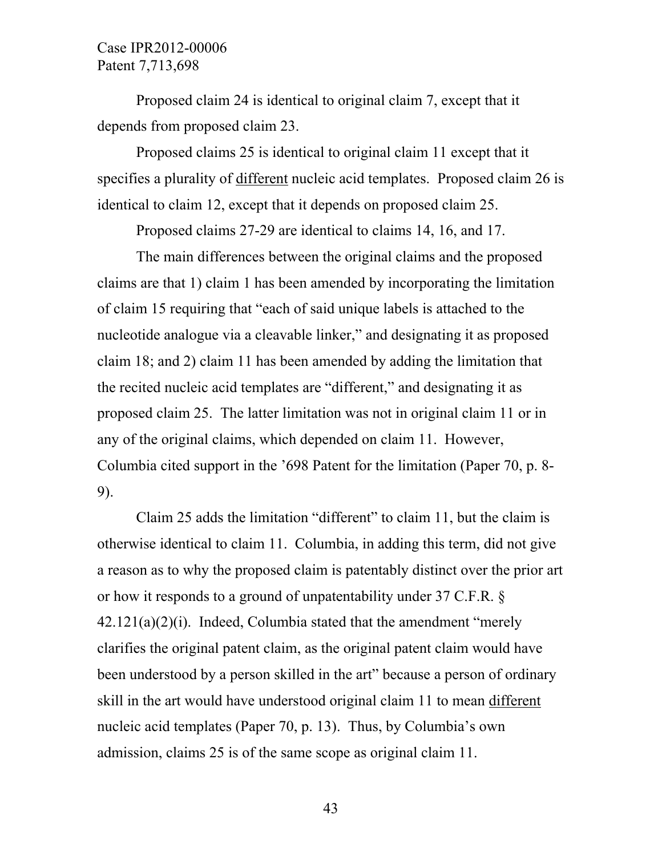Proposed claim 24 is identical to original claim 7, except that it depends from proposed claim 23.

 Proposed claims 25 is identical to original claim 11 except that it specifies a plurality of different nucleic acid templates. Proposed claim 26 is identical to claim 12, except that it depends on proposed claim 25.

Proposed claims 27-29 are identical to claims 14, 16, and 17.

 The main differences between the original claims and the proposed claims are that 1) claim 1 has been amended by incorporating the limitation of claim 15 requiring that "each of said unique labels is attached to the nucleotide analogue via a cleavable linker," and designating it as proposed claim 18; and 2) claim 11 has been amended by adding the limitation that the recited nucleic acid templates are "different," and designating it as proposed claim 25. The latter limitation was not in original claim 11 or in any of the original claims, which depended on claim 11. However, Columbia cited support in the '698 Patent for the limitation (Paper 70, p. 8- 9).

 Claim 25 adds the limitation "different" to claim 11, but the claim is otherwise identical to claim 11. Columbia, in adding this term, did not give a reason as to why the proposed claim is patentably distinct over the prior art or how it responds to a ground of unpatentability under 37 C.F.R. §  $42.121(a)(2)(i)$ . Indeed, Columbia stated that the amendment "merely clarifies the original patent claim, as the original patent claim would have been understood by a person skilled in the art" because a person of ordinary skill in the art would have understood original claim 11 to mean different nucleic acid templates (Paper 70, p. 13). Thus, by Columbia's own admission, claims 25 is of the same scope as original claim 11.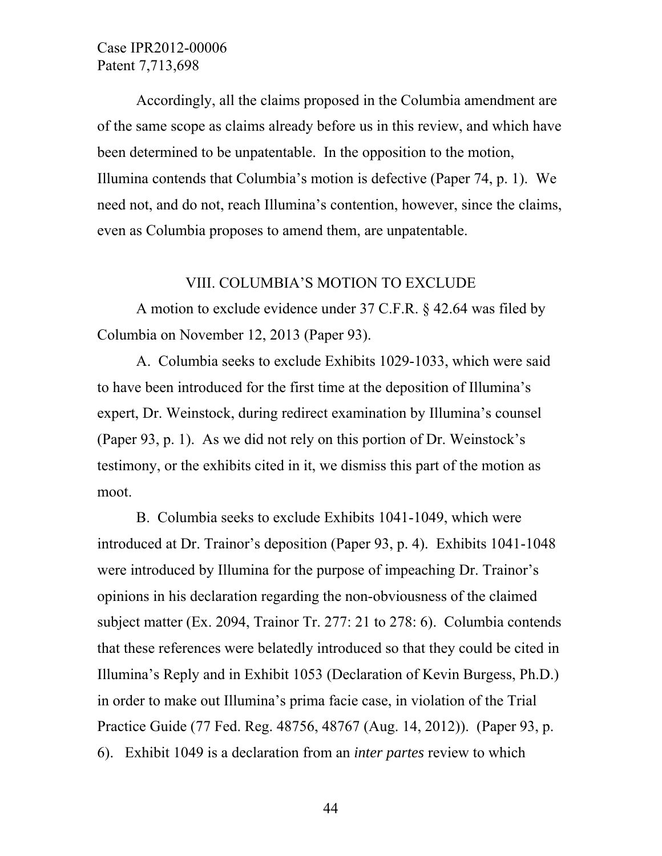Accordingly, all the claims proposed in the Columbia amendment are of the same scope as claims already before us in this review, and which have been determined to be unpatentable. In the opposition to the motion, Illumina contends that Columbia's motion is defective (Paper 74, p. 1). We need not, and do not, reach Illumina's contention, however, since the claims, even as Columbia proposes to amend them, are unpatentable.

## VIII. COLUMBIA'S MOTION TO EXCLUDE

 A motion to exclude evidence under 37 C.F.R. § 42.64 was filed by Columbia on November 12, 2013 (Paper 93).

 A. Columbia seeks to exclude Exhibits 1029-1033, which were said to have been introduced for the first time at the deposition of Illumina's expert, Dr. Weinstock, during redirect examination by Illumina's counsel (Paper 93, p. 1). As we did not rely on this portion of Dr. Weinstock's testimony, or the exhibits cited in it, we dismiss this part of the motion as moot.

 B. Columbia seeks to exclude Exhibits 1041-1049, which were introduced at Dr. Trainor's deposition (Paper 93, p. 4). Exhibits 1041-1048 were introduced by Illumina for the purpose of impeaching Dr. Trainor's opinions in his declaration regarding the non-obviousness of the claimed subject matter (Ex. 2094, Trainor Tr. 277: 21 to 278: 6). Columbia contends that these references were belatedly introduced so that they could be cited in Illumina's Reply and in Exhibit 1053 (Declaration of Kevin Burgess, Ph.D.) in order to make out Illumina's prima facie case, in violation of the Trial Practice Guide (77 Fed. Reg. 48756, 48767 (Aug. 14, 2012)). (Paper 93, p. 6). Exhibit 1049 is a declaration from an *inter partes* review to which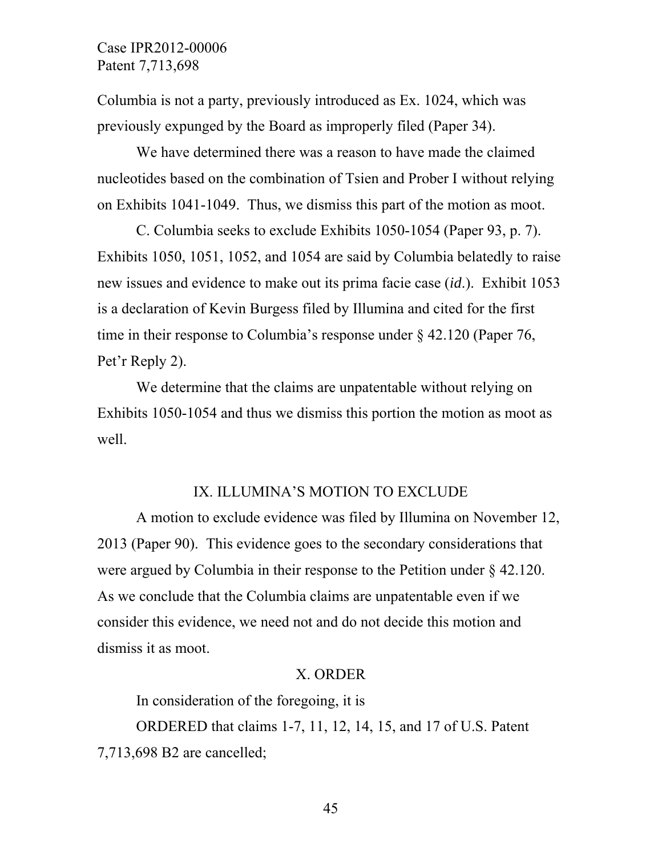Columbia is not a party, previously introduced as Ex. 1024, which was previously expunged by the Board as improperly filed (Paper 34).

We have determined there was a reason to have made the claimed nucleotides based on the combination of Tsien and Prober I without relying on Exhibits 1041-1049. Thus, we dismiss this part of the motion as moot.

 C. Columbia seeks to exclude Exhibits 1050-1054 (Paper 93, p. 7). Exhibits 1050, 1051, 1052, and 1054 are said by Columbia belatedly to raise new issues and evidence to make out its prima facie case (*id*.). Exhibit 1053 is a declaration of Kevin Burgess filed by Illumina and cited for the first time in their response to Columbia's response under § 42.120 (Paper 76, Pet'r Reply 2).

We determine that the claims are unpatentable without relying on Exhibits 1050-1054 and thus we dismiss this portion the motion as moot as well.

#### IX. ILLUMINA'S MOTION TO EXCLUDE

 A motion to exclude evidence was filed by Illumina on November 12, 2013 (Paper 90). This evidence goes to the secondary considerations that were argued by Columbia in their response to the Petition under § 42.120. As we conclude that the Columbia claims are unpatentable even if we consider this evidence, we need not and do not decide this motion and dismiss it as moot.

#### X. ORDER

In consideration of the foregoing, it is

 ORDERED that claims 1-7, 11, 12, 14, 15, and 17 of U.S. Patent 7,713,698 B2 are cancelled;